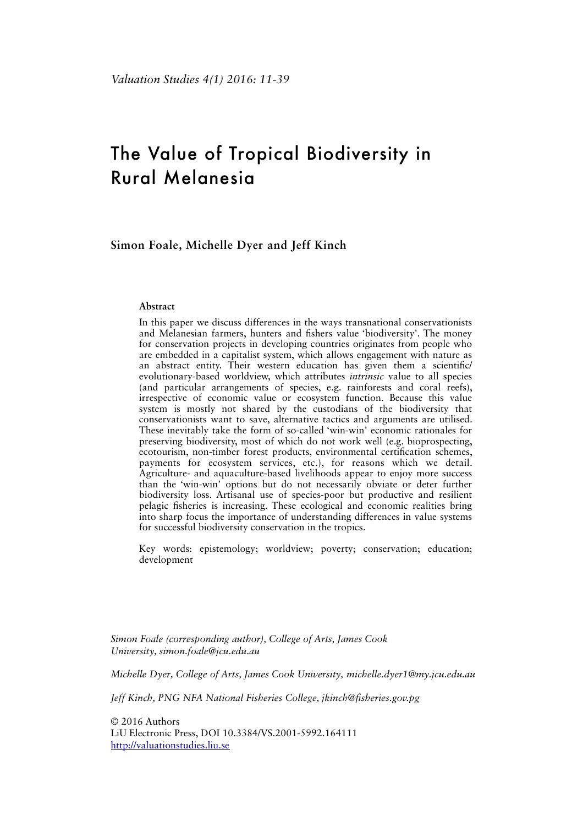# The Value of Tropical Biodiversity in Rural Melanesia

**Simon Foale, Michelle Dyer and Jeff Kinch**

#### **Abstract**

In this paper we discuss differences in the ways transnational conservationists and Melanesian farmers, hunters and fshers value 'biodiversity'. The money for conservation projects in developing countries originates from people who are embedded in a capitalist system, which allows engagement with nature as an abstract entity. Their western education has given them a scientifc/ evolutionary-based worldview, which attributes *intrinsic* value to all species (and particular arrangements of species, e.g. rainforests and coral reefs), irrespective of economic value or ecosystem function. Because this value system is mostly not shared by the custodians of the biodiversity that conservationists want to save, alternative tactics and arguments are utilised. These inevitably take the form of so-called 'win-win' economic rationales for preserving biodiversity, most of which do not work well (e.g. bioprospecting, ecotourism, non-timber forest products, environmental certifcation schemes, payments for ecosystem services, etc.), for reasons which we detail. Agriculture- and aquaculture-based livelihoods appear to enjoy more success than the 'win-win' options but do not necessarily obviate or deter further biodiversity loss. Artisanal use of species-poor but productive and resilient pelagic fsheries is increasing. These ecological and economic realities bring into sharp focus the importance of understanding differences in value systems for successful biodiversity conservation in the tropics.

Key words: epistemology; worldview; poverty; conservation; education; development

*Simon Foale (corresponding author), College of Arts, James Cook University, simon.foale@jcu.edu.au* 

*Michelle Dyer, College of Arts, James Cook University, michelle.dyer1@my.jcu.edu.au* 

*Jeff Kinch, PNG NFA National Fisheries College, jkinch@fsheries.gov.pg*

© 2016 Authors LiU Electronic Press, DOI 10.3384/VS.2001-5992.164111 <http://valuationstudies.liu.se>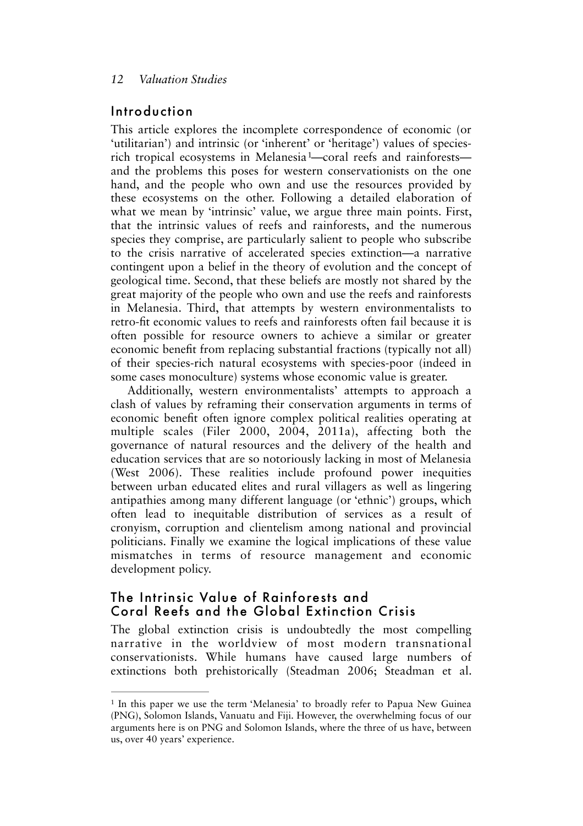### Introduction

<span id="page-1-1"></span>This article explores the incomplete correspondence of economic (or 'utilitarian') and intrinsic (or 'inherent' or 'heritage') values of speciesrich tropical ecosystems in Melanesia[1—](#page-1-0)coral reefs and rainforests and the problems this poses for western conservationists on the one hand, and the people who own and use the resources provided by these ecosystems on the other. Following a detailed elaboration of what we mean by 'intrinsic' value, we argue three main points. First, that the intrinsic values of reefs and rainforests, and the numerous species they comprise, are particularly salient to people who subscribe to the crisis narrative of accelerated species extinction—a narrative contingent upon a belief in the theory of evolution and the concept of geological time. Second, that these beliefs are mostly not shared by the great majority of the people who own and use the reefs and rainforests in Melanesia. Third, that attempts by western environmentalists to retro-ft economic values to reefs and rainforests often fail because it is often possible for resource owners to achieve a similar or greater economic beneft from replacing substantial fractions (typically not all) of their species-rich natural ecosystems with species-poor (indeed in some cases monoculture) systems whose economic value is greater.

Additionally, western environmentalists' attempts to approach a clash of values by reframing their conservation arguments in terms of economic beneft often ignore complex political realities operating at multiple scales (Filer 2000, 2004, 2011a), affecting both the governance of natural resources and the delivery of the health and education services that are so notoriously lacking in most of Melanesia (West 2006). These realities include profound power inequities between urban educated elites and rural villagers as well as lingering antipathies among many different language (or 'ethnic') groups, which often lead to inequitable distribution of services as a result of cronyism, corruption and clientelism among national and provincial politicians. Finally we examine the logical implications of these value mismatches in terms of resource management and economic development policy.

### The Intrinsic Value of Rainforests and Coral Reefs and the Global Extinction Crisis

The global extinction crisis is undoubtedly the most compelling narrative in the worldview of most modern transnational conservationists. While humans have caused large numbers of extinctions both prehistorically (Steadman 2006; Steadman et al.

<span id="page-1-0"></span><sup>&</sup>lt;sup>1</sup>In this paper we use the term 'Melanesia' to broadly refer to Papua New Guinea (PNG), Solomon Islands, Vanuatu and Fiji. However, the overwhelming focus of our arguments here is on PNG and Solomon Islands, where the three of us have, between us, over 40 years' experience.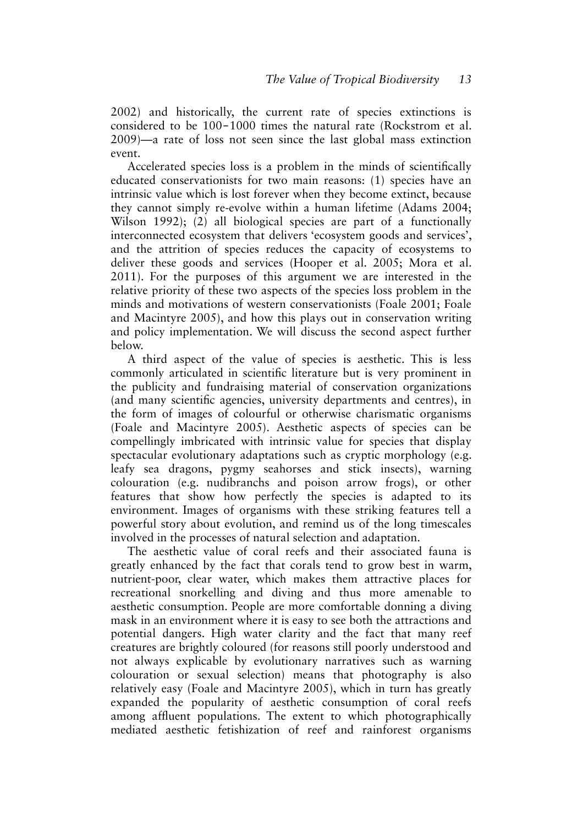2002) and historically, the current rate of species extinctions is considered to be 100-1000 times the natural rate (Rockstrom et al. 2009)—a rate of loss not seen since the last global mass extinction event.

Accelerated species loss is a problem in the minds of scientifcally educated conservationists for two main reasons: (1) species have an intrinsic value which is lost forever when they become extinct, because they cannot simply re-evolve within a human lifetime (Adams 2004; Wilson 1992); (2) all biological species are part of a functionally interconnected ecosystem that delivers 'ecosystem goods and services', and the attrition of species reduces the capacity of ecosystems to deliver these goods and services (Hooper et al. 2005; Mora et al. 2011). For the purposes of this argument we are interested in the relative priority of these two aspects of the species loss problem in the minds and motivations of western conservationists (Foale 2001; Foale and Macintyre 2005), and how this plays out in conservation writing and policy implementation. We will discuss the second aspect further below.

A third aspect of the value of species is aesthetic. This is less commonly articulated in scientifc literature but is very prominent in the publicity and fundraising material of conservation organizations (and many scientifc agencies, university departments and centres), in the form of images of colourful or otherwise charismatic organisms (Foale and Macintyre 2005). Aesthetic aspects of species can be compellingly imbricated with intrinsic value for species that display spectacular evolutionary adaptations such as cryptic morphology (e.g. leafy sea dragons, pygmy seahorses and stick insects), warning colouration (e.g. nudibranchs and poison arrow frogs), or other features that show how perfectly the species is adapted to its environment. Images of organisms with these striking features tell a powerful story about evolution, and remind us of the long timescales involved in the processes of natural selection and adaptation.

The aesthetic value of coral reefs and their associated fauna is greatly enhanced by the fact that corals tend to grow best in warm, nutrient-poor, clear water, which makes them attractive places for recreational snorkelling and diving and thus more amenable to aesthetic consumption. People are more comfortable donning a diving mask in an environment where it is easy to see both the attractions and potential dangers. High water clarity and the fact that many reef creatures are brightly coloured (for reasons still poorly understood and not always explicable by evolutionary narratives such as warning colouration or sexual selection) means that photography is also relatively easy (Foale and Macintyre 2005), which in turn has greatly expanded the popularity of aesthetic consumption of coral reefs among affuent populations. The extent to which photographically mediated aesthetic fetishization of reef and rainforest organisms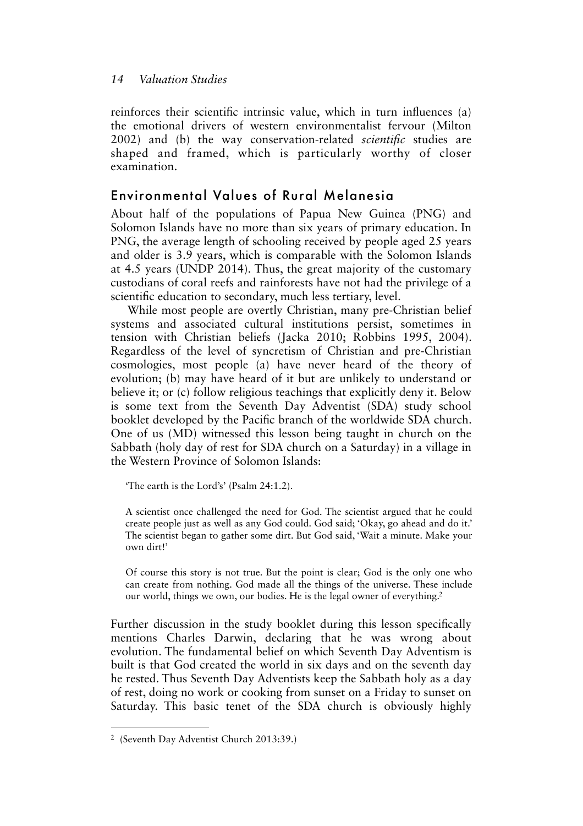reinforces their scientifc intrinsic value, which in turn infuences (a) the emotional drivers of western environmentalist fervour (Milton 2002) and (b) the way conservation-related *scientifc* studies are shaped and framed, which is particularly worthy of closer examination.

## Environmental Values of Rural Melanesia

About half of the populations of Papua New Guinea (PNG) and Solomon Islands have no more than six years of primary education. In PNG, the average length of schooling received by people aged 25 years and older is 3.9 years, which is comparable with the Solomon Islands at 4.5 years (UNDP 2014). Thus, the great majority of the customary custodians of coral reefs and rainforests have not had the privilege of a scientifc education to secondary, much less tertiary, level.

While most people are overtly Christian, many pre-Christian belief systems and associated cultural institutions persist, sometimes in tension with Christian beliefs (Jacka 2010; Robbins 1995, 2004). Regardless of the level of syncretism of Christian and pre-Christian cosmologies, most people (a) have never heard of the theory of evolution; (b) may have heard of it but are unlikely to understand or believe it; or (c) follow religious teachings that explicitly deny it. Below is some text from the Seventh Day Adventist (SDA) study school booklet developed by the Pacifc branch of the worldwide SDA church. One of us (MD) witnessed this lesson being taught in church on the Sabbath (holy day of rest for SDA church on a Saturday) in a village in the Western Province of Solomon Islands:

'The earth is the Lord's' (Psalm 24:1.2).

A scientist once challenged the need for God. The scientist argued that he could create people just as well as any God could. God said; 'Okay, go ahead and do it.' The scientist began to gather some dirt. But God said, 'Wait a minute. Make your own dirt!'

<span id="page-3-1"></span>Of course this story is not true. But the point is clear; God is the only one who can create from nothing. God made all the things of the universe. These include our world, things we own, our bodies. He is the legal owner of everything[.2](#page-3-0)

Further discussion in the study booklet during this lesson specifcally mentions Charles Darwin, declaring that he was wrong about evolution. The fundamental belief on which Seventh Day Adventism is built is that God created the world in six days and on the seventh day he rested. Thus Seventh Day Adventists keep the Sabbath holy as a day of rest, doing no work or cooking from sunset on a Friday to sunset on Saturday. This basic tenet of the SDA church is obviously highly

<span id="page-3-0"></span><sup>&</sup>lt;sup>[2](#page-3-1)</sup> (Seventh Day Adventist Church 2013:39.)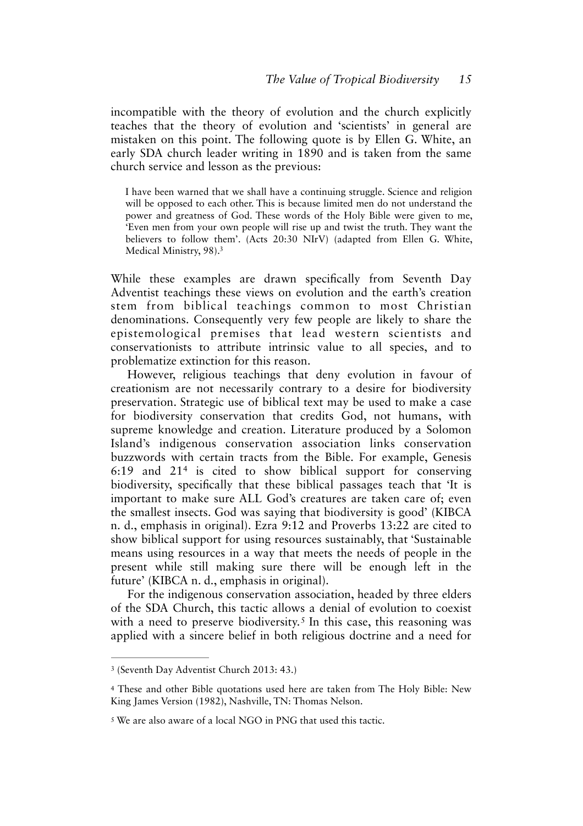incompatible with the theory of evolution and the church explicitly teaches that the theory of evolution and 'scientists' in general are mistaken on this point. The following quote is by Ellen G. White, an early SDA church leader writing in 1890 and is taken from the same church service and lesson as the previous:

I have been warned that we shall have a continuing struggle. Science and religion will be opposed to each other. This is because limited men do not understand the power and greatness of God. These words of the Holy Bible were given to me, 'Even men from your own people will rise up and twist the truth. They want the believers to follow them'. (Acts 20:30 NIrV) (adapted from Ellen G. White, Medical Ministry, 98)[.3](#page-4-0)

<span id="page-4-3"></span>While these examples are drawn specifcally from Seventh Day Adventist teachings these views on evolution and the earth's creation stem from biblical teachings common to most Christian denominations. Consequently very few people are likely to share the epistemological premises that lead western scientists and conservationists to attribute intrinsic value to all species, and to problematize extinction for this reason.

<span id="page-4-4"></span>However, religious teachings that deny evolution in favour of creationism are not necessarily contrary to a desire for biodiversity preservation. Strategic use of biblical text may be used to make a case for biodiversity conservation that credits God, not humans, with supreme knowledge and creation. Literature produced by a Solomon Island's indigenous conservation association links conservation buzzwords with certain tracts from the Bible. For example, Genesis 6:19and  $21<sup>4</sup>$  $21<sup>4</sup>$  $21<sup>4</sup>$  is cited to show biblical support for conserving biodiversity, specifcally that these biblical passages teach that 'It is important to make sure ALL God's creatures are taken care of; even the smallest insects. God was saying that biodiversity is good' (KIBCA n. d., emphasis in original). Ezra 9:12 and Proverbs 13:22 are cited to show biblical support for using resources sustainably, that 'Sustainable means using resources in a way that meets the needs of people in the present while still making sure there will be enough left in the future' (KIBCA n. d., emphasis in original).

<span id="page-4-5"></span>For the indigenous conservation association, headed by three elders of the SDA Church, this tactic allows a denial of evolution to coexist witha need to preserve biodiversity.<sup>[5](#page-4-2)</sup> In this case, this reasoning was applied with a sincere belief in both religious doctrine and a need for

<span id="page-4-0"></span><sup>&</sup>lt;sup>[3](#page-4-3)</sup> (Seventh Day Adventist Church 2013: 43.)

<span id="page-4-1"></span>These and other Bible quotations used here are taken from The Holy Bible: New [4](#page-4-4) King James Version (1982), Nashville, TN: Thomas Nelson.

<span id="page-4-2"></span> $5$ We are also aware of a local NGO in PNG that used this tactic.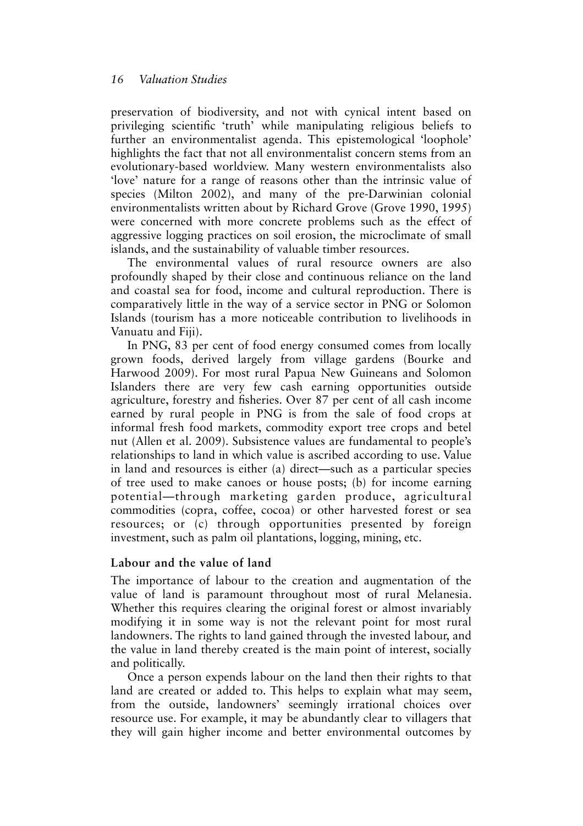preservation of biodiversity, and not with cynical intent based on privileging scientifc 'truth' while manipulating religious beliefs to further an environmentalist agenda. This epistemological 'loophole' highlights the fact that not all environmentalist concern stems from an evolutionary-based worldview. Many western environmentalists also 'love' nature for a range of reasons other than the intrinsic value of species (Milton 2002), and many of the pre-Darwinian colonial environmentalists written about by Richard Grove (Grove 1990, 1995) were concerned with more concrete problems such as the effect of aggressive logging practices on soil erosion, the microclimate of small islands, and the sustainability of valuable timber resources.

The environmental values of rural resource owners are also profoundly shaped by their close and continuous reliance on the land and coastal sea for food, income and cultural reproduction. There is comparatively little in the way of a service sector in PNG or Solomon Islands (tourism has a more noticeable contribution to livelihoods in Vanuatu and Fiji).

In PNG, 83 per cent of food energy consumed comes from locally grown foods, derived largely from village gardens (Bourke and Harwood 2009). For most rural Papua New Guineans and Solomon Islanders there are very few cash earning opportunities outside agriculture, forestry and fsheries. Over 87 per cent of all cash income earned by rural people in PNG is from the sale of food crops at informal fresh food markets, commodity export tree crops and betel nut (Allen et al. 2009). Subsistence values are fundamental to people's relationships to land in which value is ascribed according to use. Value in land and resources is either (a) direct—such as a particular species of tree used to make canoes or house posts; (b) for income earning potential—through marketing garden produce, agricultural commodities (copra, coffee, cocoa) or other harvested forest or sea resources; or (c) through opportunities presented by foreign investment, such as palm oil plantations, logging, mining, etc.

#### **Labour and the value of land**

The importance of labour to the creation and augmentation of the value of land is paramount throughout most of rural Melanesia. Whether this requires clearing the original forest or almost invariably modifying it in some way is not the relevant point for most rural landowners. The rights to land gained through the invested labour, and the value in land thereby created is the main point of interest, socially and politically.

Once a person expends labour on the land then their rights to that land are created or added to. This helps to explain what may seem, from the outside, landowners' seemingly irrational choices over resource use. For example, it may be abundantly clear to villagers that they will gain higher income and better environmental outcomes by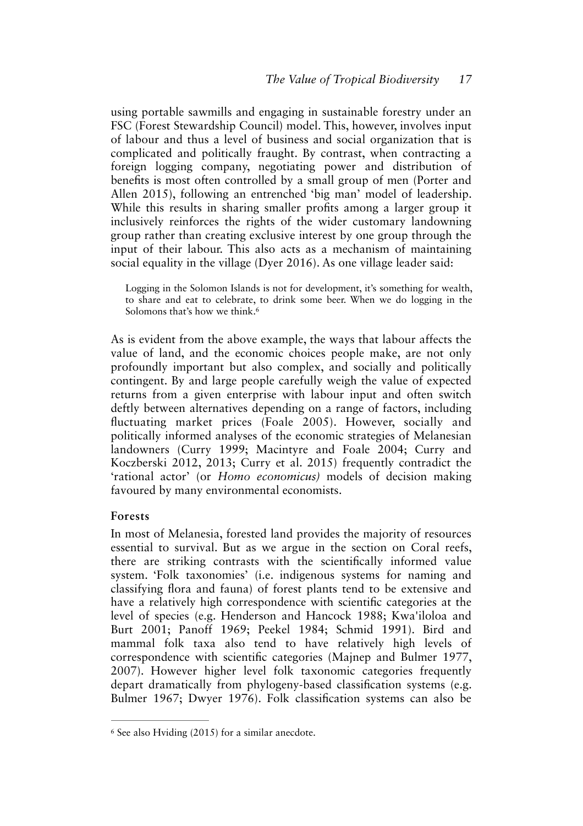using portable sawmills and engaging in sustainable forestry under an FSC (Forest Stewardship Council) model. This, however, involves input of labour and thus a level of business and social organization that is complicated and politically fraught. By contrast, when contracting a foreign logging company, negotiating power and distribution of benefts is most often controlled by a small group of men (Porter and Allen 2015), following an entrenched 'big man' model of leadership. While this results in sharing smaller profts among a larger group it inclusively reinforces the rights of the wider customary landowning group rather than creating exclusive interest by one group through the input of their labour. This also acts as a mechanism of maintaining social equality in the village (Dyer 2016). As one village leader said:

<span id="page-6-1"></span>Logging in the Solomon Islands is not for development, it's something for wealth, to share and eat to celebrate, to drink some beer. When we do logging in the Solomons that's how we think.<sup>6</sup>

As is evident from the above example, the ways that labour affects the value of land, and the economic choices people make, are not only profoundly important but also complex, and socially and politically contingent. By and large people carefully weigh the value of expected returns from a given enterprise with labour input and often switch deftly between alternatives depending on a range of factors, including fuctuating market prices (Foale 2005). However, socially and politically informed analyses of the economic strategies of Melanesian landowners (Curry 1999; Macintyre and Foale 2004; Curry and Koczberski 2012, 2013; Curry et al. 2015) frequently contradict the 'rational actor' (or *Homo economicus)* models of decision making favoured by many environmental economists.

#### **Forests**

In most of Melanesia, forested land provides the majority of resources essential to survival. But as we argue in the section on Coral reefs, there are striking contrasts with the scientifcally informed value system. 'Folk taxonomies' (i.e. indigenous systems for naming and classifying fora and fauna) of forest plants tend to be extensive and have a relatively high correspondence with scientifc categories at the level of species (e.g. Henderson and Hancock 1988; Kwa'iloloa and Burt 2001; Panoff 1969; Peekel 1984; Schmid 1991). Bird and mammal folk taxa also tend to have relatively high levels of correspondence with scientifc categories (Majnep and Bulmer 1977, 2007). However higher level folk taxonomic categories frequently depart dramatically from phylogeny-based classifcation systems (e.g. Bulmer 1967; Dwyer 1976). Folk classifcation systems can also be

<span id="page-6-0"></span> $6$  See also Hviding (2015) for a similar anecdote.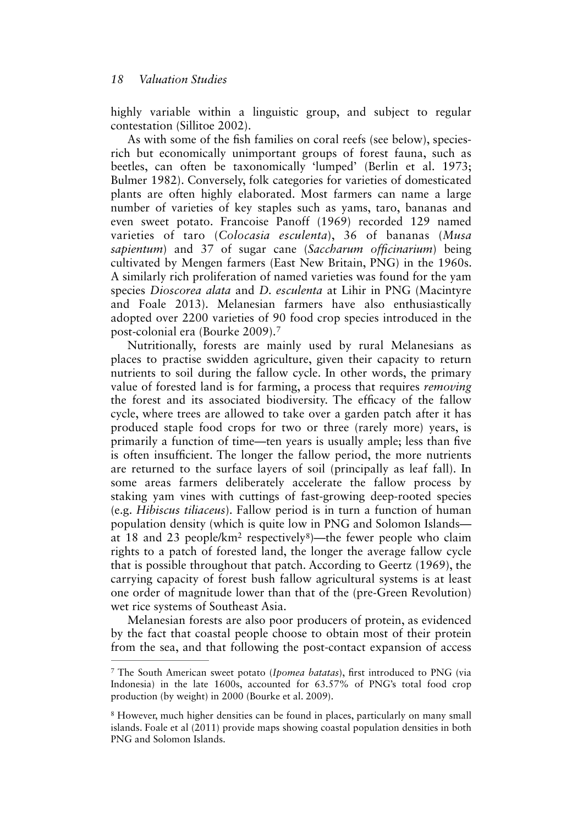highly variable within a linguistic group, and subject to regular contestation (Sillitoe 2002).

As with some of the fsh families on coral reefs (see below), speciesrich but economically unimportant groups of forest fauna, such as beetles, can often be taxonomically 'lumped' (Berlin et al. 1973; Bulmer 1982). Conversely, folk categories for varieties of domesticated plants are often highly elaborated. Most farmers can name a large number of varieties of key staples such as yams, taro, bananas and even sweet potato. Francoise Panoff (1969) recorded 129 named varieties of taro (*Colocasia esculenta*), 36 of bananas (*Musa sapientum*) and 37 of sugar cane (*Saccharum offcinarium*) being cultivated by Mengen farmers (East New Britain, PNG) in the 1960s. A similarly rich proliferation of named varieties was found for the yam species *Dioscorea alata* and *D. esculenta* at Lihir in PNG (Macintyre and Foale 2013). Melanesian farmers have also enthusiastically adopted over 2200 varieties of 90 food crop species introduced in the post-colonial era (Bourke 2009). [7](#page-7-0)

<span id="page-7-2"></span>Nutritionally, forests are mainly used by rural Melanesians as places to practise swidden agriculture, given their capacity to return nutrients to soil during the fallow cycle. In other words, the primary value of forested land is for farming, a process that requires *removing* the forest and its associated biodiversity. The efficacy of the fallow cycle, where trees are allowed to take over a garden patch after it has produced staple food crops for two or three (rarely more) years, is primarily a function of time—ten years is usually ample; less than fve is often insuffcient. The longer the fallow period, the more nutrients are returned to the surface layers of soil (principally as leaf fall). In some areas farmers deliberately accelerate the fallow process by staking yam vines with cuttings of fast-growing deep-rooted species (e.g. *Hibiscus tiliaceus*). Fallow period is in turn a function of human population density (which is quite low in PNG and Solomon Islands— at 1[8](#page-7-1) and 23 people/ $km^2$  respectively<sup>8</sup>[\)](#page-7-1)—the fewer people who claim rights to a patch of forested land, the longer the average fallow cycle that is possible throughout that patch. According to Geertz (1969), the carrying capacity of forest bush fallow agricultural systems is at least one order of magnitude lower than that of the (pre-Green Revolution) wet rice systems of Southeast Asia.

<span id="page-7-3"></span>Melanesian forests are also poor producers of protein, as evidenced by the fact that coastal people choose to obtain most of their protein from the sea, and that following the post-contact expansion of access

<span id="page-7-0"></span>The South American sweet potato (*Ipomea batatas*), frst introduced to PNG (via [7](#page-7-2) Indonesia) in the late 1600s, accounted for 63.57% of PNG's total food crop production (by weight) in 2000 (Bourke et al. 2009).

<span id="page-7-1"></span><sup>&</sup>lt;sup>8</sup>However, much higher densities can be found in places, particularly on many small islands. Foale et al (2011) provide maps showing coastal population densities in both PNG and Solomon Islands.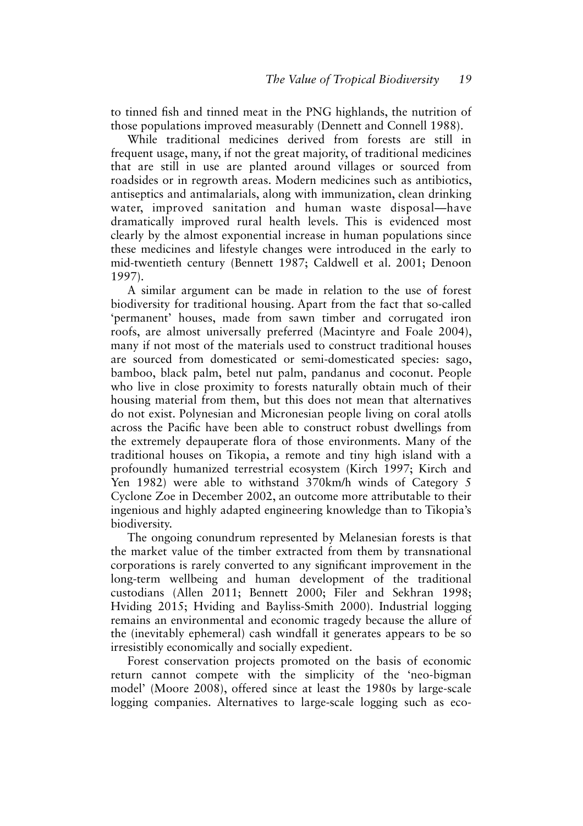to tinned fsh and tinned meat in the PNG highlands, the nutrition of those populations improved measurably (Dennett and Connell 1988).

While traditional medicines derived from forests are still in frequent usage, many, if not the great majority, of traditional medicines that are still in use are planted around villages or sourced from roadsides or in regrowth areas. Modern medicines such as antibiotics, antiseptics and antimalarials, along with immunization, clean drinking water, improved sanitation and human waste disposal—have dramatically improved rural health levels. This is evidenced most clearly by the almost exponential increase in human populations since these medicines and lifestyle changes were introduced in the early to mid-twentieth century (Bennett 1987; Caldwell et al. 2001; Denoon 1997).

A similar argument can be made in relation to the use of forest biodiversity for traditional housing. Apart from the fact that so-called 'permanent' houses, made from sawn timber and corrugated iron roofs, are almost universally preferred (Macintyre and Foale 2004), many if not most of the materials used to construct traditional houses are sourced from domesticated or semi-domesticated species: sago, bamboo, black palm, betel nut palm, pandanus and coconut. People who live in close proximity to forests naturally obtain much of their housing material from them, but this does not mean that alternatives do not exist. Polynesian and Micronesian people living on coral atolls across the Pacifc have been able to construct robust dwellings from the extremely depauperate fora of those environments. Many of the traditional houses on Tikopia, a remote and tiny high island with a profoundly humanized terrestrial ecosystem (Kirch 1997; Kirch and Yen 1982) were able to withstand 370km/h winds of Category 5 Cyclone Zoe in December 2002, an outcome more attributable to their ingenious and highly adapted engineering knowledge than to Tikopia's biodiversity.

The ongoing conundrum represented by Melanesian forests is that the market value of the timber extracted from them by transnational corporations is rarely converted to any signifcant improvement in the long-term wellbeing and human development of the traditional custodians (Allen 2011; Bennett 2000; Filer and Sekhran 1998; Hviding 2015; Hviding and Bayliss-Smith 2000). Industrial logging remains an environmental and economic tragedy because the allure of the (inevitably ephemeral) cash windfall it generates appears to be so irresistibly economically and socially expedient.

Forest conservation projects promoted on the basis of economic return cannot compete with the simplicity of the 'neo-bigman model' (Moore 2008), offered since at least the 1980s by large-scale logging companies. Alternatives to large-scale logging such as eco-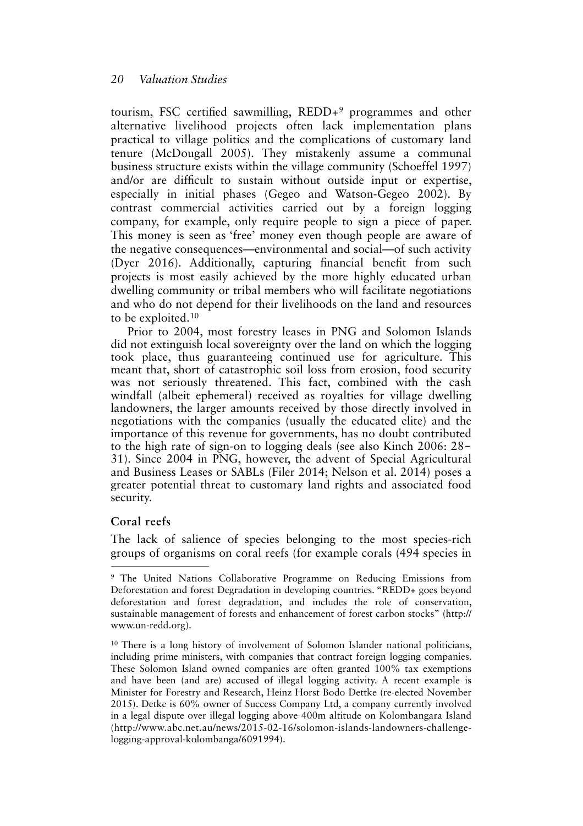<span id="page-9-2"></span>tourism,FSC certified sawmilling,  $REDD+<sup>9</sup>$  $REDD+<sup>9</sup>$  $REDD+<sup>9</sup>$  programmes and other alternative livelihood projects often lack implementation plans practical to village politics and the complications of customary land tenure (McDougall 2005). They mistakenly assume a communal business structure exists within the village community (Schoeffel 1997) and/or are diffcult to sustain without outside input or expertise, especially in initial phases (Gegeo and Watson-Gegeo 2002). By contrast commercial activities carried out by a foreign logging company, for example, only require people to sign a piece of paper. This money is seen as 'free' money even though people are aware of the negative consequences—environmental and social—of such activity (Dyer 2016). Additionally, capturing fnancial beneft from such projects is most easily achieved by the more highly educated urban dwelling community or tribal members who will facilitate negotiations and who do not depend for their livelihoods on the land and resources to be exploited.[10](#page-9-1)

<span id="page-9-3"></span>Prior to 2004, most forestry leases in PNG and Solomon Islands did not extinguish local sovereignty over the land on which the logging took place, thus guaranteeing continued use for agriculture. This meant that, short of catastrophic soil loss from erosion, food security was not seriously threatened. This fact, combined with the cash windfall (albeit ephemeral) received as royalties for village dwelling landowners, the larger amounts received by those directly involved in negotiations with the companies (usually the educated elite) and the importance of this revenue for governments, has no doubt contributed to the high rate of sign-on to logging deals (see also Kinch 2006: 28– 31). Since 2004 in PNG, however, the advent of Special Agricultural and Business Leases or SABLs (Filer 2014; Nelson et al. 2014) poses a greater potential threat to customary land rights and associated food security.

#### **Coral reefs**

The lack of salience of species belonging to the most species-rich groups of organisms on coral reefs (for example corals (494 species in

<span id="page-9-0"></span><sup>&</sup>lt;sup>9</sup>The United Nations Collaborative Programme on Reducing Emissions from Deforestation and forest Degradation in developing countries. "REDD+ goes beyond deforestation and forest degradation, and includes the role of conservation, sustainable management of forests and enhancement of forest carbon stocks" (http:// www.un-redd.org).

<span id="page-9-1"></span><sup>&</sup>lt;sup>10</sup>There is a long history of involvement of Solomon Islander national politicians, including prime ministers, with companies that contract foreign logging companies. These Solomon Island owned companies are often granted 100% tax exemptions and have been (and are) accused of illegal logging activity. A recent example is Minister for Forestry and Research, Heinz Horst Bodo Dettke (re-elected November 2015). Detke is 60% owner of Success Company Ltd, a company currently involved in a legal dispute over illegal logging above 400m altitude on Kolombangara Island (http://www.abc.net.au/news/2015-02-16/solomon-islands-landowners-challengelogging-approval-kolombanga/6091994).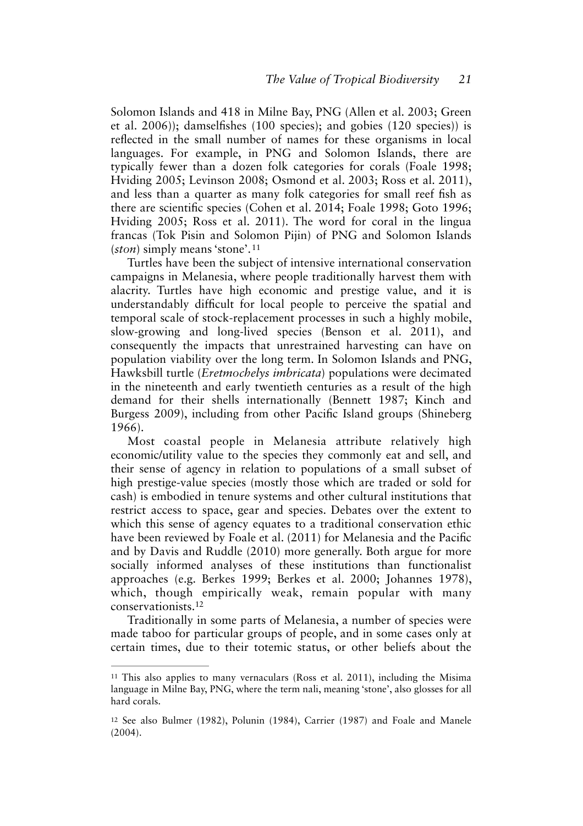Solomon Islands and 418 in Milne Bay, PNG (Allen et al. 2003; Green et al. 2006)); damselfshes (100 species); and gobies (120 species)) is refected in the small number of names for these organisms in local languages. For example, in PNG and Solomon Islands, there are typically fewer than a dozen folk categories for corals (Foale 1998; Hviding 2005; Levinson 2008; Osmond et al. 2003; Ross et al. 2011), and less than a quarter as many folk categories for small reef fsh as there are scientifc species (Cohen et al. 2014; Foale 1998; Goto 1996; Hviding 2005; Ross et al. 2011). The word for coral in the lingua francas (Tok Pisin and Solomon Pijin) of PNG and Solomon Islands (*ston*) simply means 'stone'[.](#page-10-0) [11](#page-10-0)

<span id="page-10-2"></span>Turtles have been the subject of intensive international conservation campaigns in Melanesia, where people traditionally harvest them with alacrity. Turtles have high economic and prestige value, and it is understandably diffcult for local people to perceive the spatial and temporal scale of stock-replacement processes in such a highly mobile, slow-growing and long-lived species (Benson et al. 2011), and consequently the impacts that unrestrained harvesting can have on population viability over the long term. In Solomon Islands and PNG, Hawksbill turtle (*Eretmochelys imbricata*) populations were decimated in the nineteenth and early twentieth centuries as a result of the high demand for their shells internationally (Bennett 1987; Kinch and Burgess 2009), including from other Pacifc Island groups (Shineberg 1966).

Most coastal people in Melanesia attribute relatively high economic/utility value to the species they commonly eat and sell, and their sense of agency in relation to populations of a small subset of high prestige-value species (mostly those which are traded or sold for cash) is embodied in tenure systems and other cultural institutions that restrict access to space, gear and species. Debates over the extent to which this sense of agency equates to a traditional conservation ethic have been reviewed by Foale et al. (2011) for Melanesia and the Pacifc and by Davis and Ruddle (2010) more generally. Both argue for more socially informed analyses of these institutions than functionalist approaches (e.g. Berkes 1999; Berkes et al. 2000; Johannes 1978), which, though empirically weak, remain popular with many conservationists[.12](#page-10-1)

<span id="page-10-3"></span>Traditionally in some parts of Melanesia, a number of species were made taboo for particular groups of people, and in some cases only at certain times, due to their totemic status, or other beliefs about the

<span id="page-10-0"></span> $11$ This also applies to many vernaculars (Ross et al. 2011), including the Misima language in Milne Bay, PNG, where the term nali, meaning 'stone', also glosses for all hard corals.

<span id="page-10-1"></span> $12$ See also Bulmer (1982), Polunin (1984), Carrier (1987) and Foale and Manele (2004).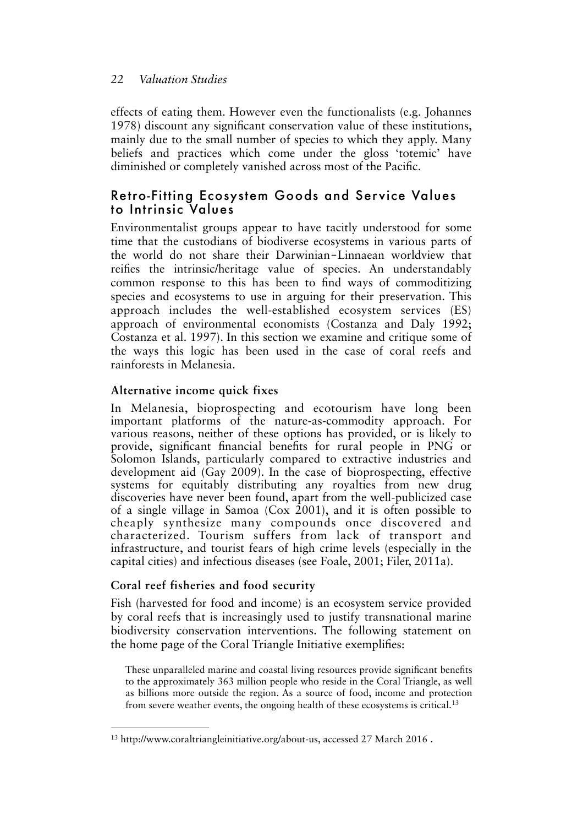effects of eating them. However even the functionalists (e.g. Johannes 1978) discount any signifcant conservation value of these institutions, mainly due to the small number of species to which they apply. Many beliefs and practices which come under the gloss 'totemic' have diminished or completely vanished across most of the Pacifc.

# Retro-Fitting Ecosystem Goods and Service Values to Intrinsic Values

Environmentalist groups appear to have tacitly understood for some time that the custodians of biodiverse ecosystems in various parts of the world do not share their Darwinian-Linnaean worldview that reifes the intrinsic/heritage value of species. An understandably common response to this has been to fnd ways of commoditizing species and ecosystems to use in arguing for their preservation. This approach includes the well-established ecosystem services (ES) approach of environmental economists (Costanza and Daly 1992; Costanza et al. 1997). In this section we examine and critique some of the ways this logic has been used in the case of coral reefs and rainforests in Melanesia.

### **Alternative income quick fixes**

In Melanesia, bioprospecting and ecotourism have long been important platforms of the nature-as-commodity approach. For various reasons, neither of these options has provided, or is likely to provide, signifcant fnancial benefts for rural people in PNG or Solomon Islands, particularly compared to extractive industries and development aid (Gay 2009). In the case of bioprospecting, effective systems for equitably distributing any royalties from new drug discoveries have never been found, apart from the well-publicized case of a single village in Samoa (Cox 2001), and it is often possible to cheaply synthesize many compounds once discovered and characterized. Tourism suffers from lack of transport and infrastructure, and tourist fears of high crime levels (especially in the capital cities) and infectious diseases (see Foale, 2001; Filer, 2011a).

### **Coral reef fisheries and food security**

Fish (harvested for food and income) is an ecosystem service provided by coral reefs that is increasingly used to justify transnational marine biodiversity conservation interventions. The following statement on the home page of the Coral Triangle Initiative exemplifes:

<span id="page-11-1"></span>These unparalleled marine and coastal living resources provide signifcant benefts to the approximately 363 million people who reside in the Coral Triangle, as well as billions more outside the region. As a source of food, income and protection from severe weather events, the ongoing health of these ecosystems is critical.[13](#page-11-0)

<span id="page-11-0"></span><sup>&</sup>lt;sup>[13](#page-11-1)</sup> http://www.coraltriangleinitiative.org/about-us, accessed 27 March 2016.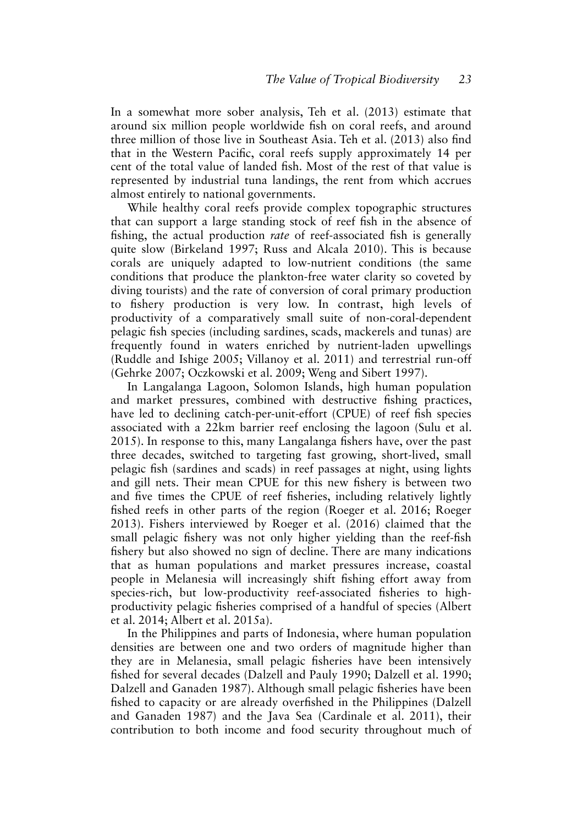In a somewhat more sober analysis, Teh et al. (2013) estimate that around six million people worldwide fsh on coral reefs, and around three million of those live in Southeast Asia. Teh et al. (2013) also fnd that in the Western Pacifc, coral reefs supply approximately 14 per cent of the total value of landed fsh. Most of the rest of that value is represented by industrial tuna landings, the rent from which accrues almost entirely to national governments.

While healthy coral reefs provide complex topographic structures that can support a large standing stock of reef fsh in the absence of fshing, the actual production *rate* of reef-associated fsh is generally quite slow (Birkeland 1997; Russ and Alcala 2010). This is because corals are uniquely adapted to low-nutrient conditions (the same conditions that produce the plankton-free water clarity so coveted by diving tourists) and the rate of conversion of coral primary production to fshery production is very low. In contrast, high levels of productivity of a comparatively small suite of non-coral-dependent pelagic fsh species (including sardines, scads, mackerels and tunas) are frequently found in waters enriched by nutrient-laden upwellings (Ruddle and Ishige 2005; Villanoy et al. 2011) and terrestrial run-off (Gehrke 2007; Oczkowski et al. 2009; Weng and Sibert 1997).

In Langalanga Lagoon, Solomon Islands, high human population and market pressures, combined with destructive fshing practices, have led to declining catch-per-unit-effort (CPUE) of reef fsh species associated with a 22km barrier reef enclosing the lagoon (Sulu et al. 2015). In response to this, many Langalanga fshers have, over the past three decades, switched to targeting fast growing, short-lived, small pelagic fsh (sardines and scads) in reef passages at night, using lights and gill nets. Their mean CPUE for this new fshery is between two and fve times the CPUE of reef fsheries, including relatively lightly fshed reefs in other parts of the region (Roeger et al. 2016; Roeger 2013). Fishers interviewed by Roeger et al. (2016) claimed that the small pelagic fshery was not only higher yielding than the reef-fsh fshery but also showed no sign of decline. There are many indications that as human populations and market pressures increase, coastal people in Melanesia will increasingly shift fshing effort away from species-rich, but low-productivity reef-associated fsheries to highproductivity pelagic fsheries comprised of a handful of species (Albert et al. 2014; Albert et al. 2015a).

In the Philippines and parts of Indonesia, where human population densities are between one and two orders of magnitude higher than they are in Melanesia, small pelagic fsheries have been intensively fshed for several decades (Dalzell and Pauly 1990; Dalzell et al. 1990; Dalzell and Ganaden 1987). Although small pelagic fsheries have been fshed to capacity or are already overfshed in the Philippines (Dalzell and Ganaden 1987) and the Java Sea (Cardinale et al. 2011), their contribution to both income and food security throughout much of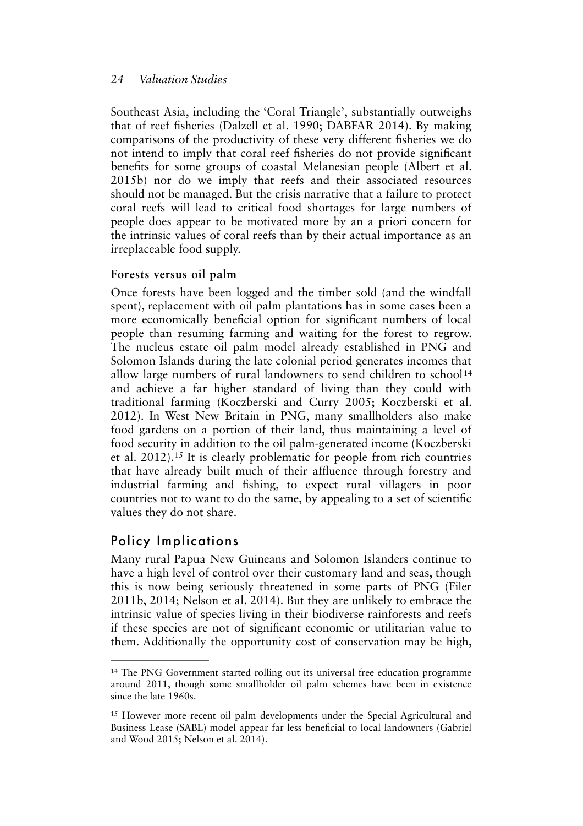Southeast Asia, including the 'Coral Triangle', substantially outweighs that of reef fsheries (Dalzell et al. 1990; DABFAR 2014). By making comparisons of the productivity of these very different fsheries we do not intend to imply that coral reef fsheries do not provide signifcant benefts for some groups of coastal Melanesian people (Albert et al. 2015b) nor do we imply that reefs and their associated resources should not be managed. But the crisis narrative that a failure to protect coral reefs will lead to critical food shortages for large numbers of people does appear to be motivated more by an a priori concern for the intrinsic values of coral reefs than by their actual importance as an irreplaceable food supply.

### **Forests versus oil palm**

<span id="page-13-2"></span>Once forests have been logged and the timber sold (and the windfall spent), replacement with oil palm plantations has in some cases been a more economically benefcial option for signifcant numbers of local people than resuming farming and waiting for the forest to regrow. The nucleus estate oil palm model already established in PNG and Solomon Islands during the late colonial period generates incomes that allow large numbers of rural landowners to send children to school<sup>[14](#page-13-0)</sup> and achieve a far higher standard of living than they could with traditional farming (Koczberski and Curry 2005; Koczberski et al. 2012). In West New Britain in PNG, many smallholders also make food gardens on a portion of their land, thus maintaining a level of food security in addition to the oil palm-generated income (Koczberski etal. 2012).<sup>[15](#page-13-1)</sup> It is clearly problematic for people from rich countries that have already built much of their affuence through forestry and industrial farming and fshing, to expect rural villagers in poor countries not to want to do the same, by appealing to a set of scientifc values they do not share.

# <span id="page-13-3"></span>Policy Implications

Many rural Papua New Guineans and Solomon Islanders continue to have a high level of control over their customary land and seas, though this is now being seriously threatened in some parts of PNG (Filer 2011b, 2014; Nelson et al. 2014). But they are unlikely to embrace the intrinsic value of species living in their biodiverse rainforests and reefs if these species are not of signifcant economic or utilitarian value to them. Additionally the opportunity cost of conservation may be high,

<span id="page-13-0"></span><sup>&</sup>lt;sup>14</sup>The PNG Government started rolling out its universal free education programme around 2011, though some smallholder oil palm schemes have been in existence since the late 1960s.

<span id="page-13-1"></span><sup>&</sup>lt;sup>15</sup>However more recent oil palm developments under the Special Agricultural and Business Lease (SABL) model appear far less benefcial to local landowners (Gabriel and Wood 2015; Nelson et al. 2014).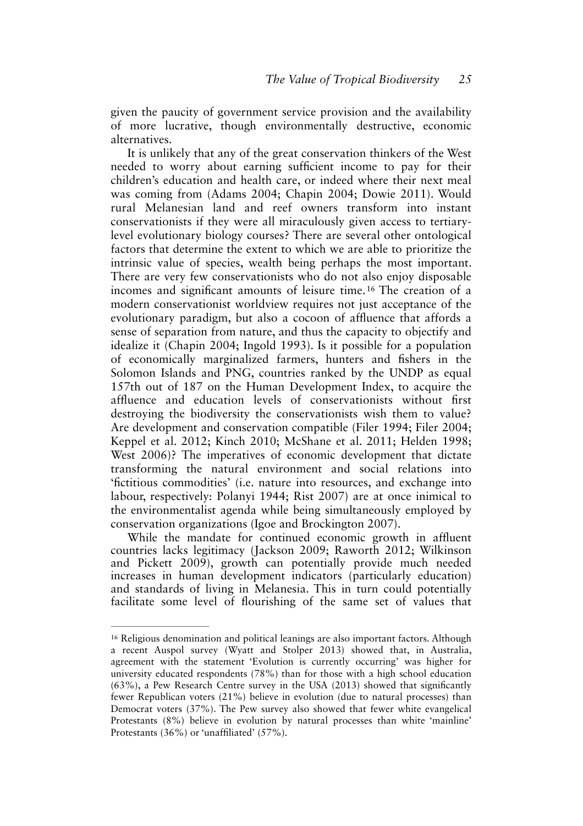given the paucity of government service provision and the availability of more lucrative, though environmentally destructive, economic alternatives.

<span id="page-14-1"></span>It is unlikely that any of the great conservation thinkers of the West needed to worry about earning sufficient income to pay for their children's education and health care, or indeed where their next meal was coming from (Adams 2004; Chapin 2004; Dowie 2011). Would rural Melanesian land and reef owners transform into instant conservationists if they were all miraculously given access to tertiarylevel evolutionary biology courses? There are several other ontological factors that determine the extent to which we are able to prioritize the intrinsic value of species, wealth being perhaps the most important. There are very few conservationists who do not also enjoy disposable incomes and significant amounts of leisure time.<sup>[16](#page-14-0)</sup> The creation of a modern conservationist worldview requires not just acceptance of the evolutionary paradigm, but also a cocoon of affuence that affords a sense of separation from nature, and thus the capacity to objectify and idealize it (Chapin 2004; Ingold 1993). Is it possible for a population of economically marginalized farmers, hunters and fshers in the Solomon Islands and PNG, countries ranked by the UNDP as equal 157th out of 187 on the Human Development Index, to acquire the affuence and education levels of conservationists without frst destroying the biodiversity the conservationists wish them to value? Are development and conservation compatible (Filer 1994; Filer 2004; Keppel et al. 2012; Kinch 2010; McShane et al. 2011; Helden 1998; West 2006)? The imperatives of economic development that dictate transforming the natural environment and social relations into 'fctitious commodities' (i.e. nature into resources, and exchange into labour, respectively: Polanyi 1944; Rist 2007) are at once inimical to the environmentalist agenda while being simultaneously employed by conservation organizations (Igoe and Brockington 2007).

While the mandate for continued economic growth in affuent countries lacks legitimacy (Jackson 2009; Raworth 2012; Wilkinson and Pickett 2009), growth can potentially provide much needed increases in human development indicators (particularly education) and standards of living in Melanesia. This in turn could potentially facilitate some level of fourishing of the same set of values that

<span id="page-14-0"></span><sup>&</sup>lt;sup>16</sup>Religious denomination and political leanings are also important factors. Although a recent Auspol survey (Wyatt and Stolper 2013) showed that, in Australia, agreement with the statement 'Evolution is currently occurring' was higher for university educated respondents (78%) than for those with a high school education (63%), a Pew Research Centre survey in the USA (2013) showed that signifcantly fewer Republican voters (21%) believe in evolution (due to natural processes) than Democrat voters (37%). The Pew survey also showed that fewer white evangelical Protestants (8%) believe in evolution by natural processes than white 'mainline' Protestants (36%) or 'unaffliated' (57%).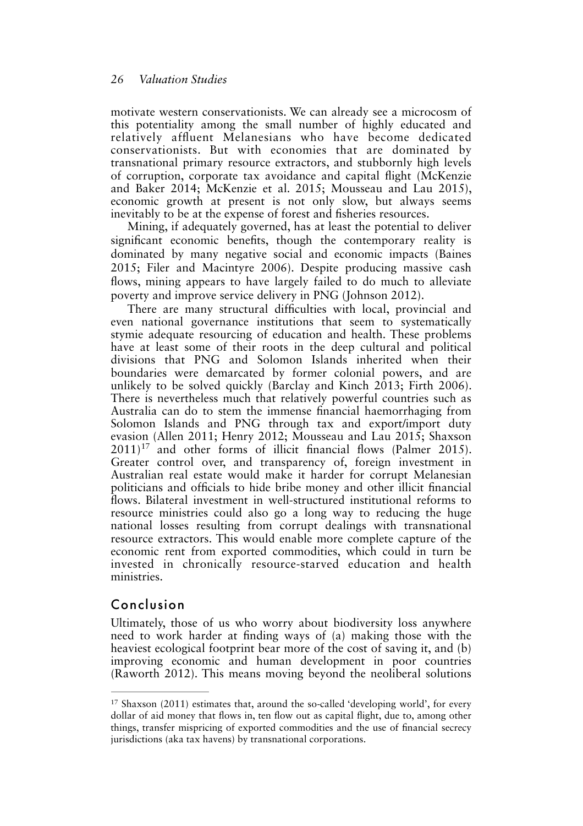motivate western conservationists. We can already see a microcosm of this potentiality among the small number of highly educated and relatively affuent Melanesians who have become dedicated conservationists. But with economies that are dominated by transnational primary resource extractors, and stubbornly high levels of corruption, corporate tax avoidance and capital fight (McKenzie and Baker 2014; McKenzie et al. 2015; Mousseau and Lau 2015), economic growth at present is not only slow, but always seems inevitably to be at the expense of forest and fsheries resources.

Mining, if adequately governed, has at least the potential to deliver signifcant economic benefts, though the contemporary reality is dominated by many negative social and economic impacts (Baines 2015; Filer and Macintyre 2006). Despite producing massive cash fows, mining appears to have largely failed to do much to alleviate poverty and improve service delivery in PNG (Johnson 2012).

<span id="page-15-1"></span>There are many structural difficulties with local, provincial and even national governance institutions that seem to systematically stymie adequate resourcing of education and health. These problems have at least some of their roots in the deep cultural and political divisions that PNG and Solomon Islands inherited when their boundaries were demarcated by former colonial powers, and are unlikely to be solved quickly (Barclay and Kinch 2013; Firth 2006). There is nevertheless much that relatively powerful countries such as Australia can do to stem the immense fnancial haemorrhaging from Solomon Islands and PNG through tax and export/import duty evasion (Allen 2011; Henry 2012; Mousseau and Lau 2015; Shaxson  $2011$ <sup>[17](#page-15-0)</sup> and other forms of illicit financial flows (Palmer 2015). Greater control over, and transparency of, foreign investment in Australian real estate would make it harder for corrupt Melanesian politicians and offcials to hide bribe money and other illicit fnancial fows. Bilateral investment in well-structured institutional reforms to resource ministries could also go a long way to reducing the huge national losses resulting from corrupt dealings with transnational resource extractors. This would enable more complete capture of the economic rent from exported commodities, which could in turn be invested in chronically resource-starved education and health ministries.

# Conclusion

Ultimately, those of us who worry about biodiversity loss anywhere need to work harder at fnding ways of (a) making those with the heaviest ecological footprint bear more of the cost of saving it, and (b) improving economic and human development in poor countries (Raworth 2012). This means moving beyond the neoliberal solutions

<span id="page-15-0"></span> $17$ Shaxson (2011) estimates that, around the so-called 'developing world', for every dollar of aid money that fows in, ten fow out as capital fight, due to, among other things, transfer mispricing of exported commodities and the use of fnancial secrecy jurisdictions (aka tax havens) by transnational corporations.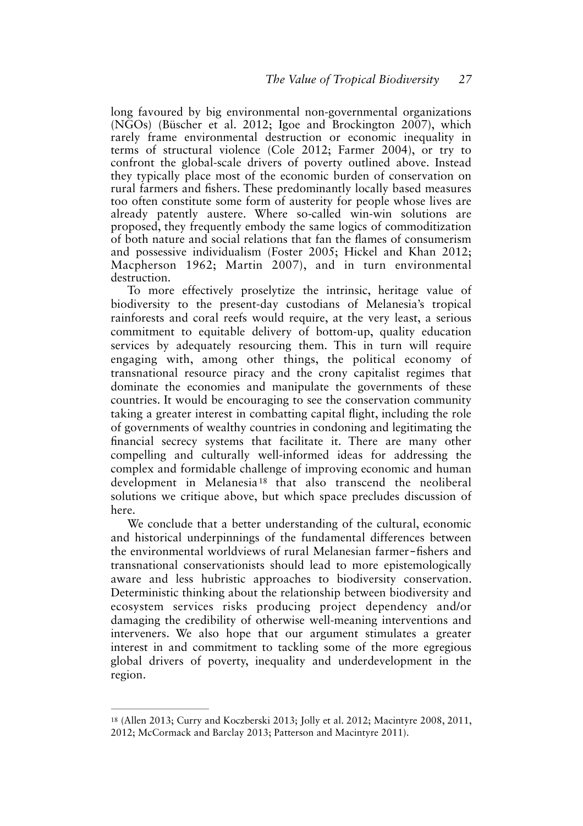long favoured by big environmental non-governmental organizations (NGOs) (Büscher et al. 2012; Igoe and Brockington 2007), which rarely frame environmental destruction or economic inequality in terms of structural violence (Cole 2012; Farmer 2004), or try to confront the global-scale drivers of poverty outlined above. Instead they typically place most of the economic burden of conservation on rural farmers and fshers. These predominantly locally based measures too often constitute some form of austerity for people whose lives are already patently austere. Where so-called win-win solutions are proposed, they frequently embody the same logics of commoditization of both nature and social relations that fan the fames of consumerism and possessive individualism (Foster 2005; Hickel and Khan 2012; Macpherson 1962; Martin 2007), and in turn environmental destruction.

To more effectively proselytize the intrinsic, heritage value of biodiversity to the present-day custodians of Melanesia's tropical rainforests and coral reefs would require, at the very least, a serious commitment to equitable delivery of bottom-up, quality education services by adequately resourcing them. This in turn will require engaging with, among other things, the political economy of transnational resource piracy and the crony capitalist regimes that dominate the economies and manipulate the governments of these countries. It would be encouraging to see the conservation community taking a greater interest in combatting capital fight, including the role of governments of wealthy countries in condoning and legitimating the fnancial secrecy systems that facilitate it. There are many other compelling and culturally well-informed ideas for addressing the complex and formidable challenge of improving economic and human development in Melanesia<sup>[18](#page-16-0)</sup> that also transcend the neoliberal solutions we critique above, but which space precludes discussion of here.

<span id="page-16-1"></span>We conclude that a better understanding of the cultural, economic and historical underpinnings of the fundamental differences between the environmental worldviews of rural Melanesian farmer–fishers and transnational conservationists should lead to more epistemologically aware and less hubristic approaches to biodiversity conservation. Deterministic thinking about the relationship between biodiversity and ecosystem services risks producing project dependency and/or damaging the credibility of otherwise well-meaning interventions and interveners. We also hope that our argument stimulates a greater interest in and commitment to tackling some of the more egregious global drivers of poverty, inequality and underdevelopment in the region.

<span id="page-16-0"></span><sup>&</sup>lt;sup>18</sup>(Allen 2013; Curry and Koczberski 2013; Jolly et al. 2012; Macintyre 2008, 2011, 2012; McCormack and Barclay 2013; Patterson and Macintyre 2011).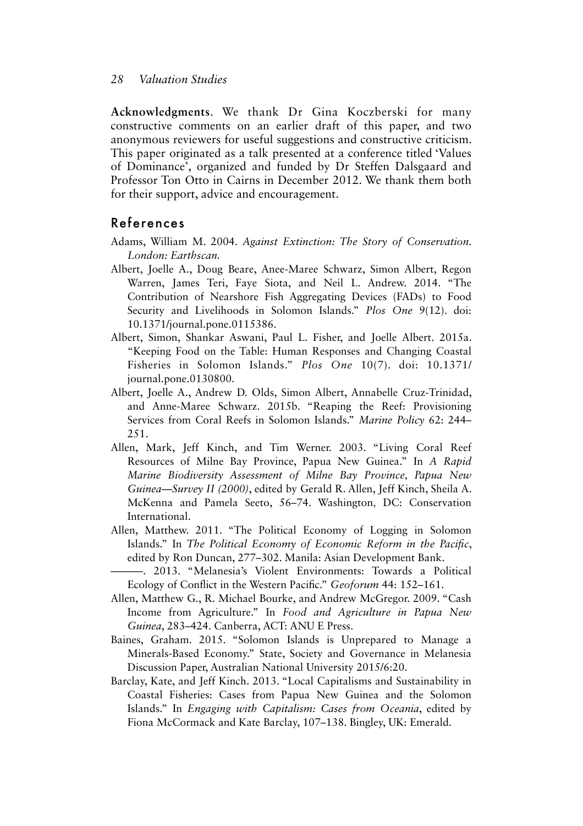**Acknowledgments**. We thank Dr Gina Koczberski for many constructive comments on an earlier draft of this paper, and two anonymous reviewers for useful suggestions and constructive criticism. This paper originated as a talk presented at a conference titled 'Values of Dominance', organized and funded by Dr Steffen Dalsgaard and Professor Ton Otto in Cairns in December 2012. We thank them both for their support, advice and encouragement.

### References

- Adams, William M. 2004. *Against Extinction: The Story of Conservation. London: Earthscan.*
- Albert, Joelle A., Doug Beare, Anee-Maree Schwarz, Simon Albert, Regon Warren, James Teri, Faye Siota, and Neil L. Andrew. 2014. "The Contribution of Nearshore Fish Aggregating Devices (FADs) to Food Security and Livelihoods in Solomon Islands." *Plos One* 9(12). doi: 10.1371/journal.pone.0115386.
- Albert, Simon, Shankar Aswani, Paul L. Fisher, and Joelle Albert. 2015a. "Keeping Food on the Table: Human Responses and Changing Coastal Fisheries in Solomon Islands." *Plos One* 10(7). doi: 10.1371/ journal.pone.0130800.
- Albert, Joelle A., Andrew D. Olds, Simon Albert, Annabelle Cruz-Trinidad, and Anne-Maree Schwarz. 2015b. "Reaping the Reef: Provisioning Services from Coral Reefs in Solomon Islands." *Marine Policy* 62: 244– 251.
- Allen, Mark, Jeff Kinch, and Tim Werner. 2003. "Living Coral Reef Resources of Milne Bay Province, Papua New Guinea." In *A Rapid Marine Biodiversity Assessment of Milne Bay Province, Papua New Guinea—Survey II (2000)*, edited by Gerald R. Allen, Jeff Kinch, Sheila A. McKenna and Pamela Seeto, 56–74. Washington, DC: Conservation International.
- Allen, Matthew. 2011. "The Political Economy of Logging in Solomon Islands." In *The Political Economy of Economic Reform in the Pacifc*, edited by Ron Duncan, 277–302. Manila: Asian Development Bank.
- ———. 2013. "Melanesia's Violent Environments: Towards a Political Ecology of Confict in the Western Pacifc." *Geoforum* 44: 152–161.
- Allen, Matthew G., R. Michael Bourke, and Andrew McGregor. 2009. "Cash Income from Agriculture." In *Food and Agriculture in Papua New Guinea*, 283–424. Canberra, ACT: ANU E Press.
- Baines, Graham. 2015. "Solomon Islands is Unprepared to Manage a Minerals-Based Economy." State, Society and Governance in Melanesia Discussion Paper, Australian National University 2015/6:20.
- Barclay, Kate, and Jeff Kinch. 2013. "Local Capitalisms and Sustainability in Coastal Fisheries: Cases from Papua New Guinea and the Solomon Islands." In *Engaging with Capitalism: Cases from Oceania*, edited by Fiona McCormack and Kate Barclay, 107–138. Bingley, UK: Emerald.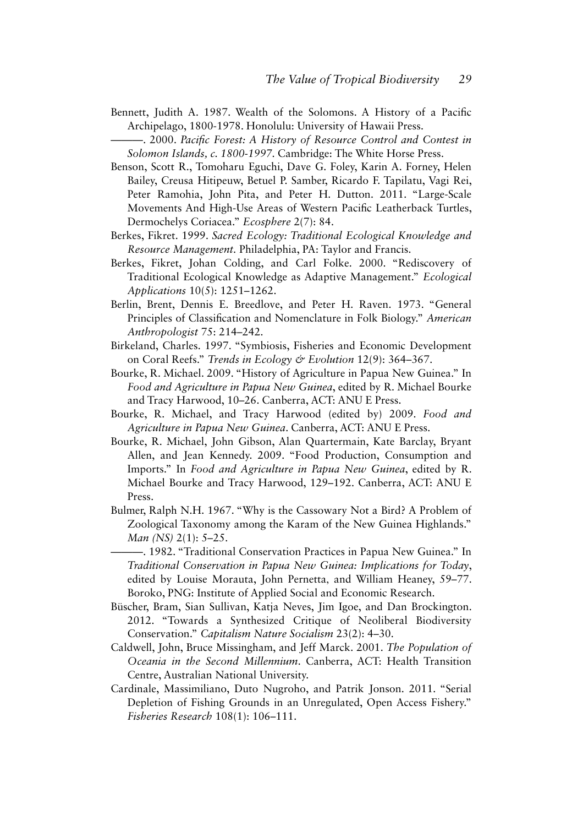- Bennett, Judith A. 1987. Wealth of the Solomons. A History of a Pacifc Archipelago, 1800-1978. Honolulu: University of Hawaii Press.
	- ———. 2000. *Pacifc Forest: A History of Resource Control and Contest in Solomon Islands, c. 1800-1997.* Cambridge: The White Horse Press.
- Benson, Scott R., Tomoharu Eguchi, Dave G. Foley, Karin A. Forney, Helen Bailey, Creusa Hitipeuw, Betuel P. Samber, Ricardo F. Tapilatu, Vagi Rei, Peter Ramohia, John Pita, and Peter H. Dutton. 2011. "Large-Scale Movements And High-Use Areas of Western Pacifc Leatherback Turtles, Dermochelys Coriacea." *Ecosphere* 2(7): 84.
- Berkes, Fikret. 1999. *Sacred Ecology: Traditional Ecological Knowledge and Resource Management.* Philadelphia, PA: Taylor and Francis.
- Berkes, Fikret, Johan Colding, and Carl Folke. 2000. "Rediscovery of Traditional Ecological Knowledge as Adaptive Management." *Ecological Applications* 10(5): 1251–1262.
- Berlin, Brent, Dennis E. Breedlove, and Peter H. Raven. 1973. "General Principles of Classifcation and Nomenclature in Folk Biology." *American Anthropologist* 75: 214–242.
- Birkeland, Charles. 1997. "Symbiosis, Fisheries and Economic Development on Coral Reefs." *Trends in Ecology & Evolution* 12(9): 364–367.
- Bourke, R. Michael. 2009. "History of Agriculture in Papua New Guinea." In *Food and Agriculture in Papua New Guinea*, edited by R. Michael Bourke and Tracy Harwood, 10–26. Canberra, ACT: ANU E Press.
- Bourke, R. Michael, and Tracy Harwood (edited by) 2009. *Food and Agriculture in Papua New Guinea*. Canberra, ACT: ANU E Press.
- Bourke, R. Michael, John Gibson, Alan Quartermain, Kate Barclay, Bryant Allen, and Jean Kennedy. 2009. "Food Production, Consumption and Imports." In *Food and Agriculture in Papua New Guinea*, edited by R. Michael Bourke and Tracy Harwood, 129–192. Canberra, ACT: ANU E Press.
- Bulmer, Ralph N.H. 1967. "Why is the Cassowary Not a Bird? A Problem of Zoological Taxonomy among the Karam of the New Guinea Highlands." *Man (NS)* 2(1): 5–25.
- ———. 1982. "Traditional Conservation Practices in Papua New Guinea." In *Traditional Conservation in Papua New Guinea: Implications for Today*, edited by Louise Morauta, John Pernetta, and William Heaney, 59–77. Boroko, PNG: Institute of Applied Social and Economic Research.
- Büscher, Bram, Sian Sullivan, Katja Neves, Jim Igoe, and Dan Brockington. 2012. "Towards a Synthesized Critique of Neoliberal Biodiversity Conservation." *Capitalism Nature Socialism* 23(2): 4–30.
- Caldwell, John, Bruce Missingham, and Jeff Marck. 2001. *The Population of Oceania in the Second Millennium*. Canberra, ACT: Health Transition Centre, Australian National University.
- Cardinale, Massimiliano, Duto Nugroho, and Patrik Jonson. 2011. "Serial Depletion of Fishing Grounds in an Unregulated, Open Access Fishery." *Fisheries Research* 108(1): 106–111.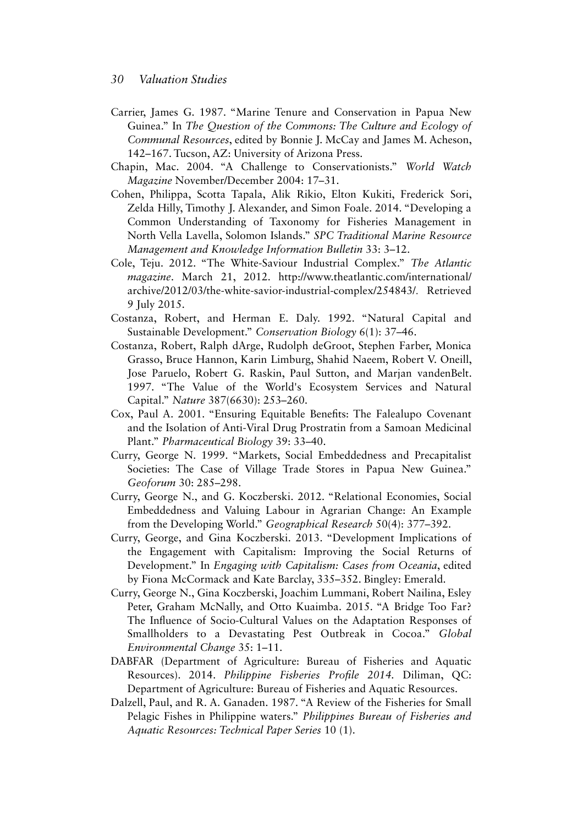- Carrier, James G. 1987. "Marine Tenure and Conservation in Papua New Guinea." In *The Question of the Commons: The Culture and Ecology of Communal Resources*, edited by Bonnie J. McCay and James M. Acheson, 142–167. Tucson, AZ: University of Arizona Press.
- Chapin, Mac. 2004. "A Challenge to Conservationists." *World Watch Magazine* November/December 2004: 17–31.
- Cohen, Philippa, Scotta Tapala, Alik Rikio, Elton Kukiti, Frederick Sori, Zelda Hilly, Timothy J. Alexander, and Simon Foale. 2014. "Developing a Common Understanding of Taxonomy for Fisheries Management in North Vella Lavella, Solomon Islands." *SPC Traditional Marine Resource Management and Knowledge Information Bulletin* 33: 3–12.
- Cole, Teju. 2012. "The White-Saviour Industrial Complex." *The Atlantic magazine*. March 21, 2012. http://www.theatlantic.com/international/ archive/2012/03/the-white-savior-industrial-complex/254843/. Retrieved 9 July 2015.
- Costanza, Robert, and Herman E. Daly. 1992. "Natural Capital and Sustainable Development." *Conservation Biology* 6(1): 37–46.
- Costanza, Robert, Ralph dArge, Rudolph deGroot, Stephen Farber, Monica Grasso, Bruce Hannon, Karin Limburg, Shahid Naeem, Robert V. Oneill, Jose Paruelo, Robert G. Raskin, Paul Sutton, and Marjan vandenBelt. 1997. "The Value of the World's Ecosystem Services and Natural Capital." *Nature* 387(6630): 253–260.
- Cox, Paul A. 2001. "Ensuring Equitable Benefts: The Falealupo Covenant and the Isolation of Anti-Viral Drug Prostratin from a Samoan Medicinal Plant." *Pharmaceutical Biology* 39: 33–40.
- Curry, George N. 1999. "Markets, Social Embeddedness and Precapitalist Societies: The Case of Village Trade Stores in Papua New Guinea." *Geoforum* 30: 285–298.
- Curry, George N., and G. Koczberski. 2012. "Relational Economies, Social Embeddedness and Valuing Labour in Agrarian Change: An Example from the Developing World." *Geographical Research* 50(4): 377–392.
- Curry, George, and Gina Koczberski. 2013. "Development Implications of the Engagement with Capitalism: Improving the Social Returns of Development." In *Engaging with Capitalism: Cases from Oceania*, edited by Fiona McCormack and Kate Barclay, 335–352. Bingley: Emerald.
- Curry, George N., Gina Koczberski, Joachim Lummani, Robert Nailina, Esley Peter, Graham McNally, and Otto Kuaimba. 2015. "A Bridge Too Far? The Infuence of Socio-Cultural Values on the Adaptation Responses of Smallholders to a Devastating Pest Outbreak in Cocoa." *Global Environmental Change* 35: 1–11.
- DABFAR (Department of Agriculture: Bureau of Fisheries and Aquatic Resources). 2014. *Philippine Fisheries Profle 2014.* Diliman, QC: Department of Agriculture: Bureau of Fisheries and Aquatic Resources.
- Dalzell, Paul, and R. A. Ganaden. 1987. "A Review of the Fisheries for Small Pelagic Fishes in Philippine waters." *Philippines Bureau of Fisheries and Aquatic Resources: Technical Paper Series* 10 (1).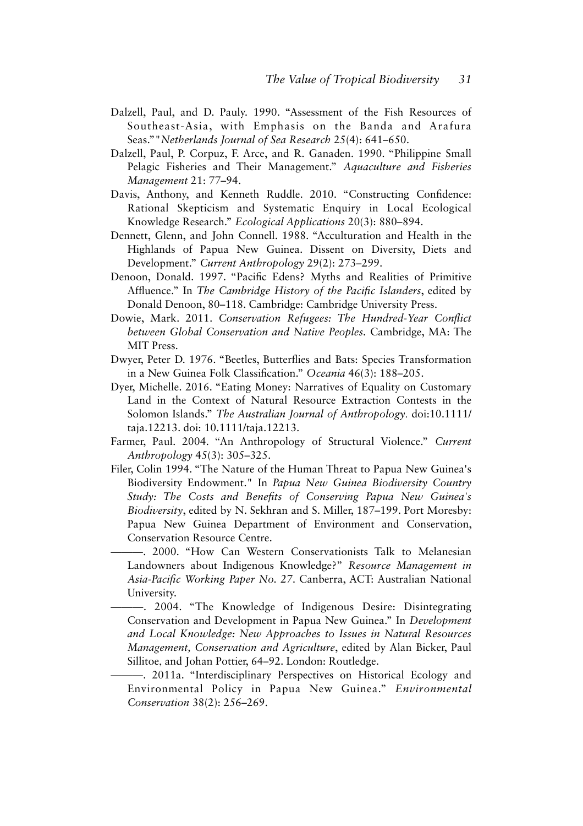- Dalzell, Paul, and D. Pauly. 1990. "Assessment of the Fish Resources of Southeast-Asia, with Emphasis on the Banda and Arafura Seas.""*Netherlands Journal of Sea Research* 25(4): 641–650.
- Dalzell, Paul, P. Corpuz, F. Arce, and R. Ganaden. 1990. "Philippine Small Pelagic Fisheries and Their Management." *Aquaculture and Fisheries Management* 21: 77–94.
- Davis, Anthony, and Kenneth Ruddle. 2010. "Constructing Confdence: Rational Skepticism and Systematic Enquiry in Local Ecological Knowledge Research." *Ecological Applications* 20(3): 880–894.
- Dennett, Glenn, and John Connell. 1988. "Acculturation and Health in the Highlands of Papua New Guinea. Dissent on Diversity, Diets and Development." *Current Anthropology* 29(2): 273–299.
- Denoon, Donald. 1997. "Pacifc Edens? Myths and Realities of Primitive Affuence." In *The Cambridge History of the Pacifc Islanders*, edited by Donald Denoon, 80–118. Cambridge: Cambridge University Press.
- Dowie, Mark. 2011. *Conservation Refugees: The Hundred-Year Confict between Global Conservation and Native Peoples.* Cambridge, MA: The MIT Press.
- Dwyer, Peter D. 1976. "Beetles, Butterfies and Bats: Species Transformation in a New Guinea Folk Classifcation." *Oceania* 46(3): 188–205.
- Dyer, Michelle. 2016. "Eating Money: Narratives of Equality on Customary Land in the Context of Natural Resource Extraction Contests in the Solomon Islands." *The Australian Journal of Anthropology*. doi:10.1111/ taja.12213. doi: 10.1111/taja.12213.
- Farmer, Paul. 2004. "An Anthropology of Structural Violence." *Current Anthropology* 45(3): 305–325.
- Filer, Colin 1994. "The Nature of the Human Threat to Papua New Guinea's Biodiversity Endowment." In *Papua New Guinea Biodiversity Country Study: The Costs and Benefts of Conserving Papua New Guinea's Biodiversity*, edited by N. Sekhran and S. Miller, 187–199. Port Moresby: Papua New Guinea Department of Environment and Conservation, Conservation Resource Centre.
- ———. 2000. "How Can Western Conservationists Talk to Melanesian Landowners about Indigenous Knowledge?" *Resource Management in Asia-Pacifc Working Paper No. 27*. Canberra, ACT: Australian National University.
- ———. 2004. "The Knowledge of Indigenous Desire: Disintegrating Conservation and Development in Papua New Guinea." In *Development and Local Knowledge: New Approaches to Issues in Natural Resources Management, Conservation and Agriculture*, edited by Alan Bicker, Paul Sillitoe, and Johan Pottier, 64–92. London: Routledge.
- ———. 2011a. "Interdisciplinary Perspectives on Historical Ecology and Environmental Policy in Papua New Guinea." *Environmental Conservation* 38(2): 256–269.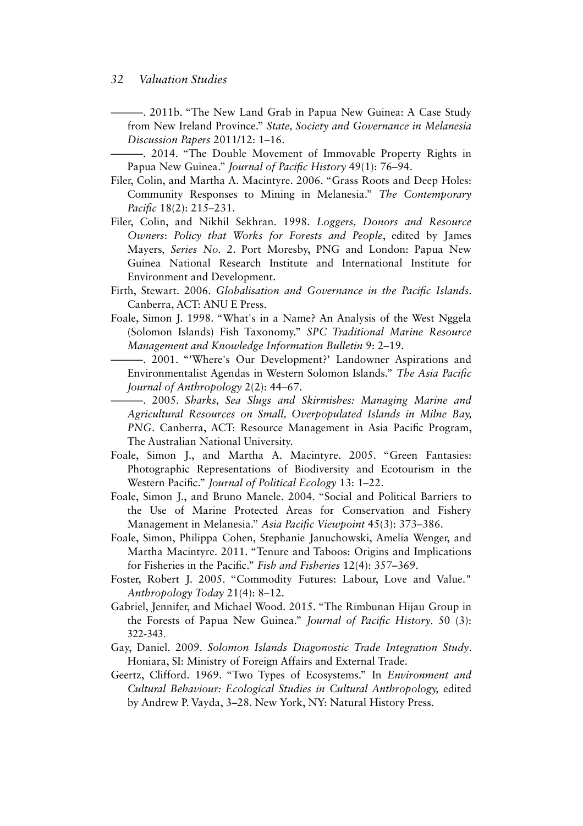———. 2011b. "The New Land Grab in Papua New Guinea: A Case Study from New Ireland Province." *State, Society and Governance in Melanesia Discussion Papers* 2011/12: 1–16.

———. 2014. "The Double Movement of Immovable Property Rights in Papua New Guinea." *Journal of Pacifc History* 49(1): 76–94.

- Filer, Colin, and Martha A. Macintyre. 2006. "Grass Roots and Deep Holes: Community Responses to Mining in Melanesia." *The Contemporary Pacifc* 18(2): 215–231.
- Filer, Colin, and Nikhil Sekhran. 1998. *Loggers, Donors and Resource Owners*: *Policy that Works for Forests and People*, edited by James Mayers, *Series No. 2*. Port Moresby, PNG and London: Papua New Guinea National Research Institute and International Institute for Environment and Development.
- Firth, Stewart. 2006. *Globalisation and Governance in the Pacifc Islands.*  Canberra, ACT: ANU E Press.
- Foale, Simon J. 1998. "What's in a Name? An Analysis of the West Nggela (Solomon Islands) Fish Taxonomy." *SPC Traditional Marine Resource Management and Knowledge Information Bulletin* 9: 2–19.

———. 2001. "'Where's Our Development?' Landowner Aspirations and Environmentalist Agendas in Western Solomon Islands." *The Asia Pacifc Journal of Anthropology* 2(2): 44–67.

———. 2005. *Sharks, Sea Slugs and Skirmishes: Managing Marine and Agricultural Resources on Small, Overpopulated Islands in Milne Bay, PNG*. Canberra, ACT: Resource Management in Asia Pacifc Program, The Australian National University.

- Foale, Simon J., and Martha A. Macintyre. 2005. "Green Fantasies: Photographic Representations of Biodiversity and Ecotourism in the Western Pacifc." *Journal of Political Ecology* 13: 1–22.
- Foale, Simon J., and Bruno Manele. 2004. "Social and Political Barriers to the Use of Marine Protected Areas for Conservation and Fishery Management in Melanesia." *Asia Pacifc Viewpoint* 45(3): 373–386.
- Foale, Simon, Philippa Cohen, Stephanie Januchowski, Amelia Wenger, and Martha Macintyre. 2011. "Tenure and Taboos: Origins and Implications for Fisheries in the Pacifc." *Fish and Fisheries* 12(4): 357–369.
- Foster, Robert J. 2005. "Commodity Futures: Labour, Love and Value." *Anthropology Today* 21(4): 8–12.
- Gabriel, Jennifer, and Michael Wood. 2015. "The Rimbunan Hijau Group in the Forests of Papua New Guinea." *Journal of Pacifc History*. 50 (3): 322-343.
- Gay, Daniel. 2009. *Solomon Islands Diagonostic Trade Integration Study*. Honiara, SI: Ministry of Foreign Affairs and External Trade.
- Geertz, Clifford. 1969. "Two Types of Ecosystems." In *Environment and Cultural Behaviour: Ecological Studies in Cultural Anthropology,* edited by Andrew P. Vayda, 3–28. New York, NY: Natural History Press.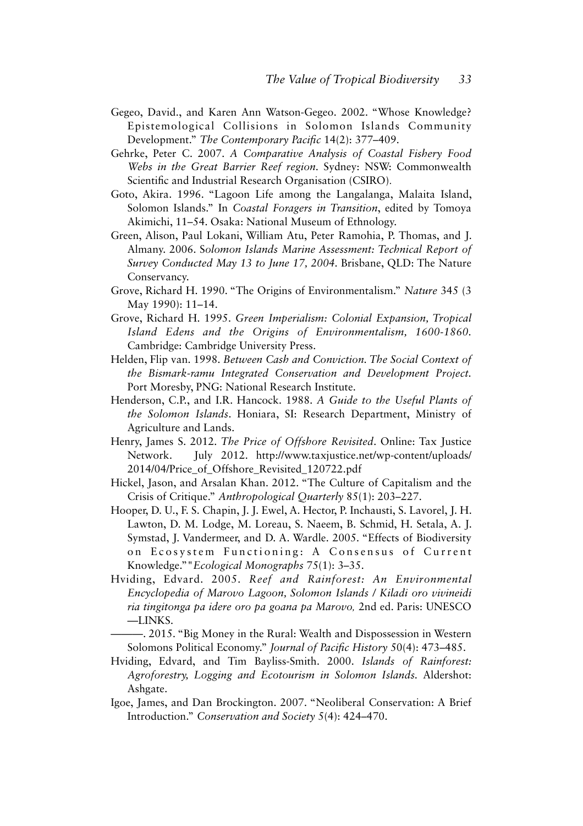- Gegeo, David., and Karen Ann Watson-Gegeo. 2002. "Whose Knowledge? Epistemological Collisions in Solomon Islands Community Development." *The Contemporary Pacifc* 14(2): 377–409.
- Gehrke, Peter C. 2007. *A Comparative Analysis of Coastal Fishery Food Webs in the Great Barrier Reef region.* Sydney: NSW: Commonwealth Scientifc and Industrial Research Organisation (CSIRO).
- Goto, Akira. 1996. "Lagoon Life among the Langalanga, Malaita Island, Solomon Islands." In *Coastal Foragers in Transition*, edited by Tomoya Akimichi, 11–54. Osaka: National Museum of Ethnology.
- Green, Alison, Paul Lokani, William Atu, Peter Ramohia, P. Thomas, and J. Almany. 2006. S*olomon Islands Marine Assessment: Technical Report of Survey Conducted May 13 to June 17, 2004.* Brisbane, QLD: The Nature Conservancy.
- Grove, Richard H. 1990. "The Origins of Environmentalism." *Nature* 345 (3 May 1990): 11–14.
- Grove, Richard H. 1995. *Green Imperialism: Colonial Expansion, Tropical Island Edens and the Origins of Environmentalism, 1600-1860.* Cambridge: Cambridge University Press.
- Helden, Flip van. 1998. *Between Cash and Conviction. The Social Context of the Bismark-ramu Integrated Conservation and Development Project.* Port Moresby, PNG: National Research Institute.
- Henderson, C.P., and I.R. Hancock. 1988. *A Guide to the Useful Plants of the Solomon Islands*. Honiara, SI: Research Department, Ministry of Agriculture and Lands.
- Henry, James S. 2012. *The Price of Offshore Revisited*. Online: Tax Justice Network. July 2012. http://www.taxjustice.net/wp-content/uploads/ 2014/04/Price\_of\_Offshore\_Revisited\_120722.pdf
- Hickel, Jason, and Arsalan Khan. 2012. "The Culture of Capitalism and the Crisis of Critique." *Anthropological Quarterly* 85(1): 203–227.
- Hooper, D. U., F. S. Chapin, J. J. Ewel, A. Hector, P. Inchausti, S. Lavorel, J. H. Lawton, D. M. Lodge, M. Loreau, S. Naeem, B. Schmid, H. Setala, A. J. Symstad, J. Vandermeer, and D. A. Wardle. 2005. "Effects of Biodiversity on Ecosystem Functioning: A Consensus of Current Knowledge.""*Ecological Monographs* 75(1): 3–35.
- Hviding, Edvard. 2005. *Reef and Rainforest: An Environmental Encyclopedia of Marovo Lagoon, Solomon Islands / Kiladi oro vivineidi ria tingitonga pa idere oro pa goana pa Marovo,* 2nd ed. Paris: UNESCO —LINKS.
	- ———. 2015. "Big Money in the Rural: Wealth and Dispossession in Western Solomons Political Economy." *Journal of Pacifc History* 50(4): 473–485.
- Hviding, Edvard, and Tim Bayliss-Smith. 2000. *Islands of Rainforest: Agroforestry, Logging and Ecotourism in Solomon Islands.* Aldershot: Ashgate.
- Igoe, James, and Dan Brockington. 2007. "Neoliberal Conservation: A Brief Introduction." *Conservation and Society* 5(4): 424–470.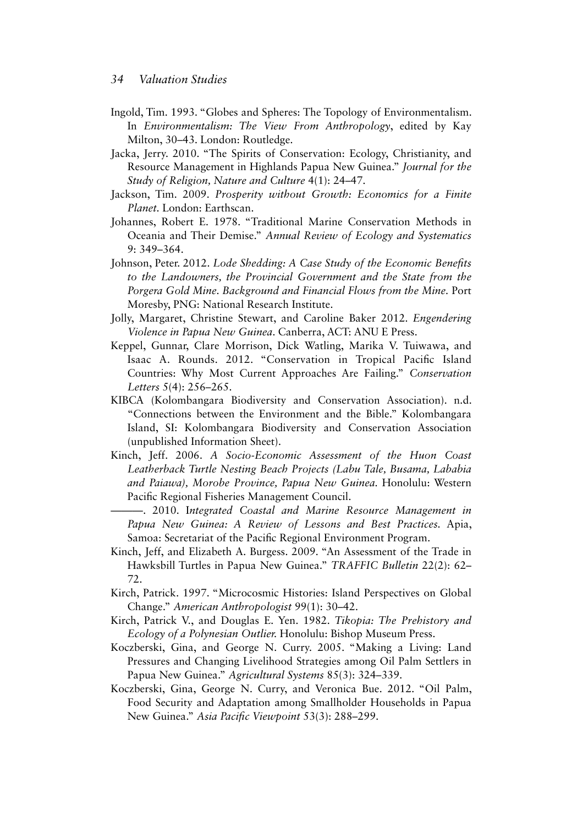- Ingold, Tim. 1993. "Globes and Spheres: The Topology of Environmentalism. In *Environmentalism: The View From Anthropology*, edited by Kay Milton, 30–43. London: Routledge.
- Jacka, Jerry. 2010. "The Spirits of Conservation: Ecology, Christianity, and Resource Management in Highlands Papua New Guinea." *Journal for the Study of Religion, Nature and Culture* 4(1): 24–47.
- Jackson, Tim. 2009. *Prosperity without Growth: Economics for a Finite Planet.* London: Earthscan.
- Johannes, Robert E. 1978. "Traditional Marine Conservation Methods in Oceania and Their Demise." *Annual Review of Ecology and Systematics* 9: 349–364.
- Johnson, Peter. 2012. *Lode Shedding: A Case Study of the Economic Benefts to the Landowners, the Provincial Government and the State from the Porgera Gold Mine. Background and Financial Flows from the Mine.* Port Moresby, PNG: National Research Institute.
- Jolly, Margaret, Christine Stewart, and Caroline Baker 2012. *Engendering Violence in Papua New Guinea*. Canberra, ACT: ANU E Press.
- Keppel, Gunnar, Clare Morrison, Dick Watling, Marika V. Tuiwawa, and Isaac A. Rounds. 2012. "Conservation in Tropical Pacifc Island Countries: Why Most Current Approaches Are Failing." *Conservation Letters* 5(4): 256–265.
- KIBCA (Kolombangara Biodiversity and Conservation Association). n.d. "Connections between the Environment and the Bible." Kolombangara Island, SI: Kolombangara Biodiversity and Conservation Association (unpublished Information Sheet).
- Kinch, Jeff. 2006. *A Socio-Economic Assessment of the Huon Coast Leatherback Turtle Nesting Beach Projects (Labu Tale, Busama, Lababia and Paiawa), Morobe Province, Papua New Guinea.* Honolulu: Western Pacifc Regional Fisheries Management Council.
	- ———. 2010. I*ntegrated Coastal and Marine Resource Management in Papua New Guinea: A Review of Lessons and Best Practices.* Apia, Samoa: Secretariat of the Pacifc Regional Environment Program.
- Kinch, Jeff, and Elizabeth A. Burgess. 2009. "An Assessment of the Trade in Hawksbill Turtles in Papua New Guinea." *TRAFFIC Bulletin* 22(2): 62– 72.
- Kirch, Patrick. 1997. "Microcosmic Histories: Island Perspectives on Global Change." *American Anthropologist* 99(1): 30–42.
- Kirch, Patrick V., and Douglas E. Yen. 1982. *Tikopia: The Prehistory and Ecology of a Polynesian Outlier.* Honolulu: Bishop Museum Press.
- Koczberski, Gina, and George N. Curry. 2005. "Making a Living: Land Pressures and Changing Livelihood Strategies among Oil Palm Settlers in Papua New Guinea." *Agricultural Systems* 85(3): 324–339.
- Koczberski, Gina, George N. Curry, and Veronica Bue. 2012. "Oil Palm, Food Security and Adaptation among Smallholder Households in Papua New Guinea." *Asia Pacifc Viewpoint* 53(3): 288–299.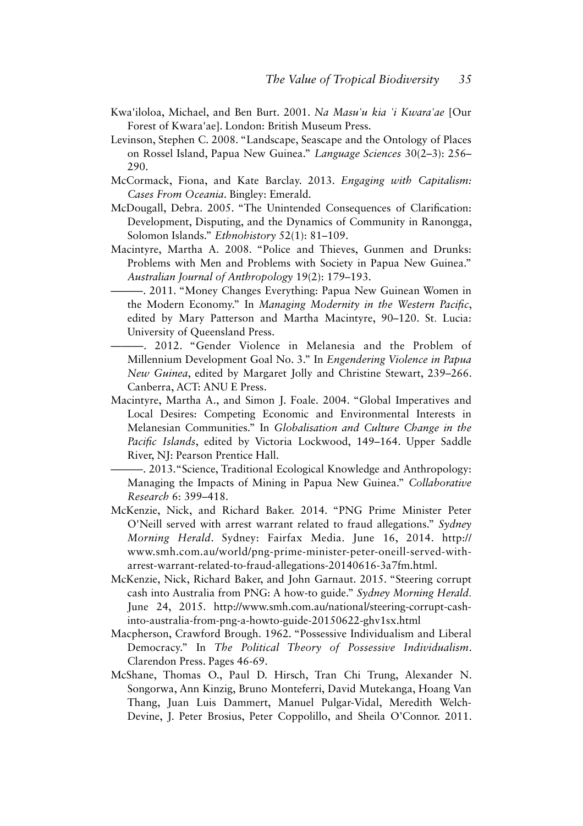- Kwa'iloloa, Michael, and Ben Burt. 2001. *Na Masu'u kia 'i Kwara'ae* [Our Forest of Kwara'ae]. London: British Museum Press.
- Levinson, Stephen C. 2008. "Landscape, Seascape and the Ontology of Places on Rossel Island, Papua New Guinea." *Language Sciences* 30(2–3): 256– 290.
- McCormack, Fiona, and Kate Barclay. 2013. *Engaging with Capitalism: Cases From Oceania*. Bingley: Emerald.
- McDougall, Debra. 2005. "The Unintended Consequences of Clarifcation: Development, Disputing, and the Dynamics of Community in Ranongga, Solomon Islands." *Ethnohistory* 52(1): 81–109.
- Macintyre, Martha A. 2008. "Police and Thieves, Gunmen and Drunks: Problems with Men and Problems with Society in Papua New Guinea." *Australian Journal of Anthropology* 19(2): 179–193.
	- ———. 2011. "Money Changes Everything: Papua New Guinean Women in the Modern Economy." In *Managing Modernity in the Western Pacifc*, edited by Mary Patterson and Martha Macintyre, 90–120. St. Lucia: University of Queensland Press.
	- ———. 2012. "Gender Violence in Melanesia and the Problem of Millennium Development Goal No. 3." In *Engendering Violence in Papua New Guinea*, edited by Margaret Jolly and Christine Stewart, 239–266. Canberra, ACT: ANU E Press.
- Macintyre, Martha A., and Simon J. Foale. 2004. "Global Imperatives and Local Desires: Competing Economic and Environmental Interests in Melanesian Communities." In *Globalisation and Culture Change in the Pacifc Islands*, edited by Victoria Lockwood, 149–164. Upper Saddle River, NJ: Pearson Prentice Hall.
	- ———. 2013."Science, Traditional Ecological Knowledge and Anthropology: Managing the Impacts of Mining in Papua New Guinea." *Collaborative Research* 6: 399–418.
- McKenzie, Nick, and Richard Baker. 2014. "PNG Prime Minister Peter O'Neill served with arrest warrant related to fraud allegations." *Sydney Morning Herald*. Sydney: Fairfax Media. June 16, 2014. http:// www.smh.com.au/world/png-prime-minister-peter-oneill-served-witharrest-warrant-related-to-fraud-allegations-20140616-3a7fm.html.
- McKenzie, Nick, Richard Baker, and John Garnaut. 2015. "Steering corrupt cash into Australia from PNG: A how-to guide." *Sydney Morning Herald*. June 24, 2015. http://www.smh.com.au/national/steering-corrupt-cashinto-australia-from-png-a-howto-guide-20150622-ghv1sx.html
- Macpherson, Crawford Brough. 1962. "Possessive Individualism and Liberal Democracy." In *The Political Theory of Possessive Individualism*. Clarendon Press. Pages 46-69.
- McShane, Thomas O., Paul D. Hirsch, Tran Chi Trung, Alexander N. Songorwa, Ann Kinzig, Bruno Monteferri, David Mutekanga, Hoang Van Thang, Juan Luis Dammert, Manuel Pulgar-Vidal, Meredith Welch-Devine, J. Peter Brosius, Peter Coppolillo, and Sheila O'Connor. 2011.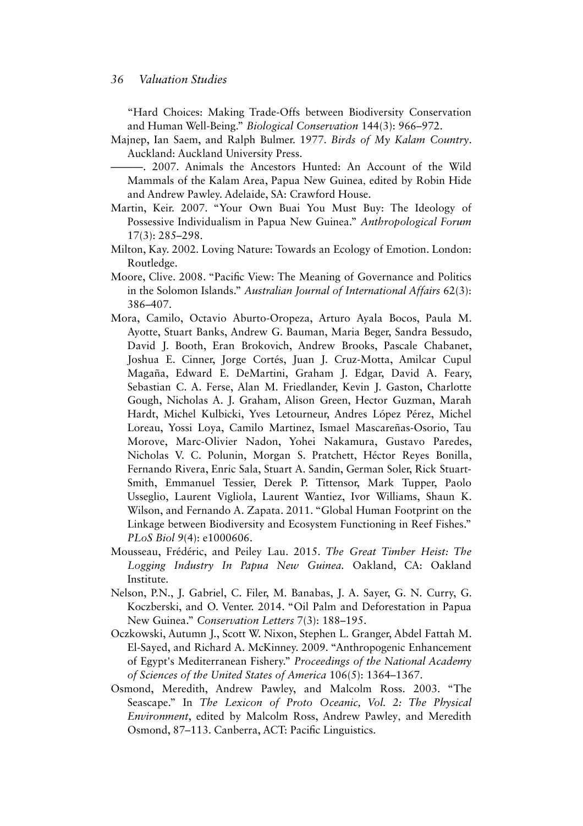"Hard Choices: Making Trade-Offs between Biodiversity Conservation and Human Well-Being." *Biological Conservation* 144(3): 966–972.

Majnep, Ian Saem, and Ralph Bulmer. 1977. *Birds of My Kalam Country*. Auckland: Auckland University Press.

———. 2007. Animals the Ancestors Hunted: An Account of the Wild Mammals of the Kalam Area, Papua New Guinea, edited by Robin Hide and Andrew Pawley. Adelaide, SA: Crawford House.

- Martin, Keir. 2007. "Your Own Buai You Must Buy: The Ideology of Possessive Individualism in Papua New Guinea." *Anthropological Forum* 17(3): 285–298.
- Milton, Kay. 2002. Loving Nature: Towards an Ecology of Emotion. London: Routledge.
- Moore, Clive. 2008. "Pacifc View: The Meaning of Governance and Politics in the Solomon Islands." *Australian Journal of International Affairs* 62(3): 386–407.
- Mora, Camilo, Octavio Aburto-Oropeza, Arturo Ayala Bocos, Paula M. Ayotte, Stuart Banks, Andrew G. Bauman, Maria Beger, Sandra Bessudo, David J. Booth, Eran Brokovich, Andrew Brooks, Pascale Chabanet, Joshua E. Cinner, Jorge Cortés, Juan J. Cruz-Motta, Amilcar Cupul Magaña, Edward E. DeMartini, Graham J. Edgar, David A. Feary, Sebastian C. A. Ferse, Alan M. Friedlander, Kevin J. Gaston, Charlotte Gough, Nicholas A. J. Graham, Alison Green, Hector Guzman, Marah Hardt, Michel Kulbicki, Yves Letourneur, Andres López Pérez, Michel Loreau, Yossi Loya, Camilo Martinez, Ismael Mascareñas-Osorio, Tau Morove, Marc-Olivier Nadon, Yohei Nakamura, Gustavo Paredes, Nicholas V. C. Polunin, Morgan S. Pratchett, Héctor Reyes Bonilla, Fernando Rivera, Enric Sala, Stuart A. Sandin, German Soler, Rick Stuart-Smith, Emmanuel Tessier, Derek P. Tittensor, Mark Tupper, Paolo Usseglio, Laurent Vigliola, Laurent Wantiez, Ivor Williams, Shaun K. Wilson, and Fernando A. Zapata. 2011. "Global Human Footprint on the Linkage between Biodiversity and Ecosystem Functioning in Reef Fishes." *PLoS Biol* 9(4): e1000606.
- Mousseau, Frédéric, and Peiley Lau. 2015. *The Great Timber Heist: The Logging Industry In Papua New Guinea.* Oakland, CA: Oakland Institute.
- Nelson, P.N., J. Gabriel, C. Filer, M. Banabas, J. A. Sayer, G. N. Curry, G. Koczberski, and O. Venter. 2014. "Oil Palm and Deforestation in Papua New Guinea." *Conservation Letters* 7(3): 188–195.
- Oczkowski, Autumn J., Scott W. Nixon, Stephen L. Granger, Abdel Fattah M. El-Sayed, and Richard A. McKinney. 2009. "Anthropogenic Enhancement of Egypt's Mediterranean Fishery." *Proceedings of the National Academy of Sciences of the United States of America* 106(5): 1364–1367.
- Osmond, Meredith, Andrew Pawley, and Malcolm Ross. 2003. "The Seascape." In *The Lexicon of Proto Oceanic, Vol. 2: The Physical Environment*, edited by Malcolm Ross, Andrew Pawley, and Meredith Osmond, 87–113. Canberra, ACT: Pacifc Linguistics.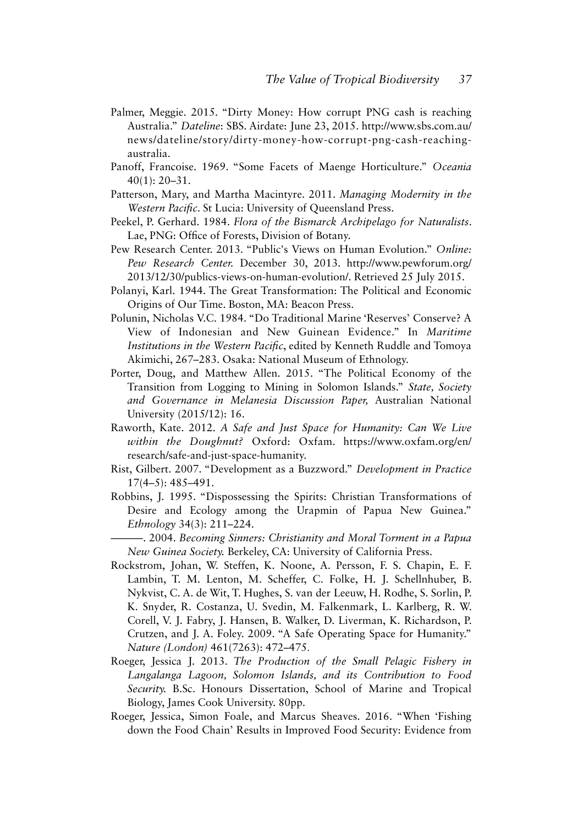- Palmer, Meggie. 2015. "Dirty Money: How corrupt PNG cash is reaching Australia." *Dateline*: SBS. Airdate: June 23, 2015. http://www.sbs.com.au/ news/dateline/story/dirty-money-how-corrupt-png-cash-reachingaustralia.
- Panoff, Francoise. 1969. "Some Facets of Maenge Horticulture." *Oceania* 40(1): 20–31.
- Patterson, Mary, and Martha Macintyre. 2011. *Managing Modernity in the Western Pacifc*. St Lucia: University of Queensland Press.
- Peekel, P. Gerhard. 1984. *Flora of the Bismarck Archipelago for Naturalists*. Lae, PNG: Office of Forests, Division of Botany.
- Pew Research Center. 2013. "Public's Views on Human Evolution." *Online: Pew Research Center.* December 30, 2013. http://www.pewforum.org/ 2013/12/30/publics-views-on-human-evolution/. Retrieved 25 July 2015.
- Polanyi, Karl. 1944. The Great Transformation: The Political and Economic Origins of Our Time. Boston, MA: Beacon Press.
- Polunin, Nicholas V.C. 1984. "Do Traditional Marine 'Reserves' Conserve? A View of Indonesian and New Guinean Evidence." In *Maritime Institutions in the Western Pacifc*, edited by Kenneth Ruddle and Tomoya Akimichi, 267–283. Osaka: National Museum of Ethnology.
- Porter, Doug, and Matthew Allen. 2015. "The Political Economy of the Transition from Logging to Mining in Solomon Islands." *State, Society and Governance in Melanesia Discussion Paper,* Australian National University (2015/12): 16.
- Raworth, Kate. 2012. *A Safe and Just Space for Humanity: Can We Live within the Doughnut?* Oxford: Oxfam. https://www.oxfam.org/en/ research/safe-and-just-space-humanity.
- Rist, Gilbert. 2007. "Development as a Buzzword." *Development in Practice* 17(4–5): 485–491.
- Robbins, J. 1995. "Dispossessing the Spirits: Christian Transformations of Desire and Ecology among the Urapmin of Papua New Guinea." *Ethnology* 34(3): 211–224.
	- ———. 2004. *Becoming Sinners: Christianity and Moral Torment in a Papua New Guinea Society.* Berkeley, CA: University of California Press.
- Rockstrom, Johan, W. Steffen, K. Noone, A. Persson, F. S. Chapin, E. F. Lambin, T. M. Lenton, M. Scheffer, C. Folke, H. J. Schellnhuber, B. Nykvist, C. A. de Wit, T. Hughes, S. van der Leeuw, H. Rodhe, S. Sorlin, P. K. Snyder, R. Costanza, U. Svedin, M. Falkenmark, L. Karlberg, R. W. Corell, V. J. Fabry, J. Hansen, B. Walker, D. Liverman, K. Richardson, P. Crutzen, and J. A. Foley. 2009. "A Safe Operating Space for Humanity." *Nature (London)* 461(7263): 472–475.
- Roeger, Jessica J. 2013. *The Production of the Small Pelagic Fishery in Langalanga Lagoon, Solomon Islands, and its Contribution to Food Security.* B.Sc. Honours Dissertation, School of Marine and Tropical Biology, James Cook University. 80pp.
- Roeger, Jessica, Simon Foale, and Marcus Sheaves. 2016. "When 'Fishing down the Food Chain' Results in Improved Food Security: Evidence from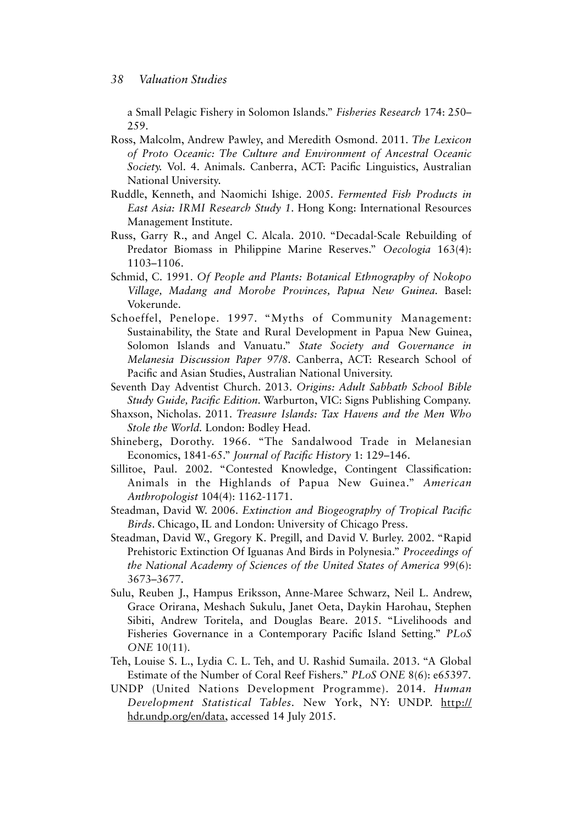a Small Pelagic Fishery in Solomon Islands." *Fisheries Research* 174: 250– 259.

- Ross, Malcolm, Andrew Pawley, and Meredith Osmond. 2011. *The Lexicon of Proto Oceanic: The Culture and Environment of Ancestral Oceanic Society.* Vol. 4. Animals. Canberra, ACT: Pacifc Linguistics, Australian National University.
- Ruddle, Kenneth, and Naomichi Ishige. 2005. *Fermented Fish Products in East Asia: IRMI Research Study 1*. Hong Kong: International Resources Management Institute.
- Russ, Garry R., and Angel C. Alcala. 2010. "Decadal-Scale Rebuilding of Predator Biomass in Philippine Marine Reserves." *Oecologia* 163(4): 1103–1106.
- Schmid, C. 1991. *Of People and Plants: Botanical Ethnography of Nokopo Village, Madang and Morobe Provinces, Papua New Guinea.* Basel: Vokerunde.
- Schoeffel, Penelope. 1997. "Myths of Community Management: Sustainability, the State and Rural Development in Papua New Guinea, Solomon Islands and Vanuatu." *State Society and Governance in Melanesia Discussion Paper 97/8*. Canberra, ACT: Research School of Pacifc and Asian Studies, Australian National University.
- Seventh Day Adventist Church. 2013. *Origins: Adult Sabbath School Bible Study Guide, Pacifc Edition.* Warburton, VIC: Signs Publishing Company.
- Shaxson, Nicholas. 2011. *Treasure Islands: Tax Havens and the Men Who Stole the World.* London: Bodley Head.
- Shineberg, Dorothy. 1966. "The Sandalwood Trade in Melanesian Economics, 1841-65." *Journal of Pacifc History* 1: 129–146.
- Sillitoe, Paul. 2002. "Contested Knowledge, Contingent Classifcation: Animals in the Highlands of Papua New Guinea." *American Anthropologist* 104(4): 1162-1171.
- Steadman, David W. 2006. *Extinction and Biogeography of Tropical Pacifc Birds*. Chicago, IL and London: University of Chicago Press.
- Steadman, David W., Gregory K. Pregill, and David V. Burley. 2002. "Rapid Prehistoric Extinction Of Iguanas And Birds in Polynesia." *Proceedings of the National Academy of Sciences of the United States of America* 99(6): 3673–3677.
- Sulu, Reuben J., Hampus Eriksson, Anne-Maree Schwarz, Neil L. Andrew, Grace Orirana, Meshach Sukulu, Janet Oeta, Daykin Harohau, Stephen Sibiti, Andrew Toritela, and Douglas Beare. 2015. "Livelihoods and Fisheries Governance in a Contemporary Pacifc Island Setting." *PLoS ONE* 10(11).
- Teh, Louise S. L., Lydia C. L. Teh, and U. Rashid Sumaila. 2013. "A Global Estimate of the Number of Coral Reef Fishers." *PLoS ONE* 8(6): e65397.
- UNDP (United Nations Development Programme). 2014. *Human Development Statistical Tables.* New York, NY: UNDP. http:// [hdr.undp.org/en/data, accessed 14 July 2015.](http://hdr.undp.org/en/data)